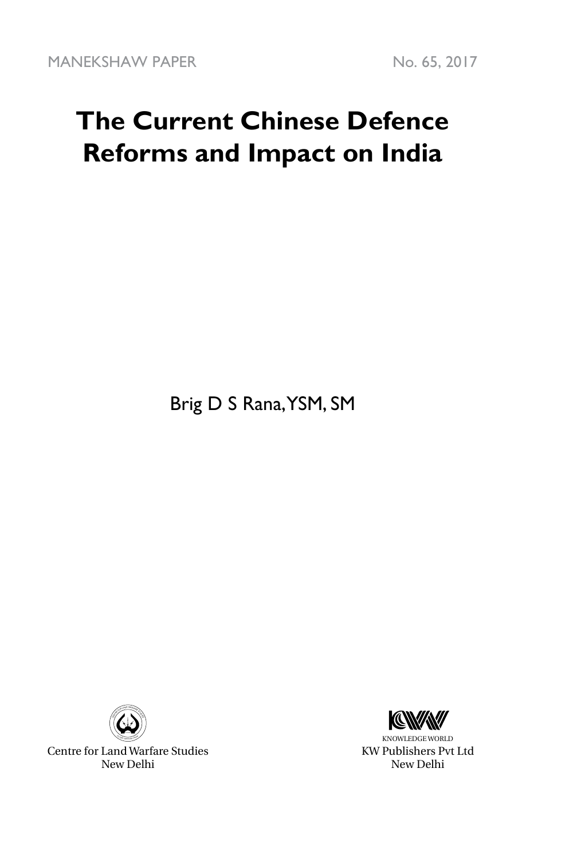# **The Current Chinese Defence Reforms and Impact on India**

Brig D S Rana, YSM, SM



Centre for Land Warfare Studies New Delhi



KNOWLEDGE WORLD KW Publishers Pvt Ltd New Delhi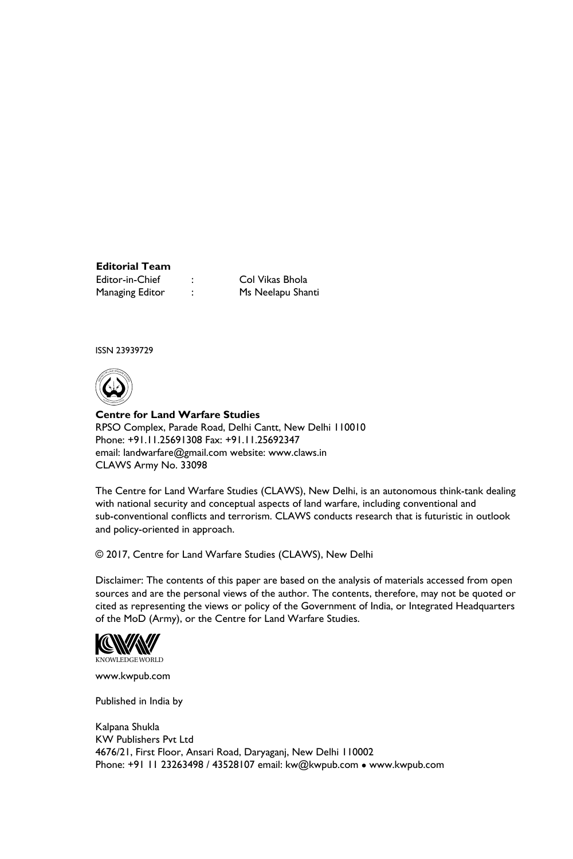### **Editorial Team**

Managing Editor : Ms Neelapu Shanti

Editor-in-Chief : Col Vikas Bhola

ISSN 23939729



**Centre for Land Warfare Studies**  RPSO Complex, Parade Road, Delhi Cantt, New Delhi 110010 Phone: +91.11.25691308 Fax: +91.11.25692347 email: landwarfare@gmail.com website: www.claws.in CLAWS Army No. 33098

The Centre for Land Warfare Studies (CLAWS), New Delhi, is an autonomous think-tank dealing with national security and conceptual aspects of land warfare, including conventional and sub-conventional conflicts and terrorism. CLAWS conducts research that is futuristic in outlook and policy-oriented in approach.

© 2017, Centre for Land Warfare Studies (CLAWS), New Delhi

Disclaimer: The contents of this paper are based on the analysis of materials accessed from open sources and are the personal views of the author. The contents, therefore, may not be quoted or cited as representing the views or policy of the Government of India, or Integrated Headquarters of the MoD (Army), or the Centre for Land Warfare Studies.



www.kwpub.com

Published in India by

Kalpana Shukla KW Publishers Pvt Ltd 4676/21, First Floor, Ansari Road, Daryaganj, New Delhi 110002 Phone: +91 11 23263498 / 43528107 email: kw@kwpub.com · www.kwpub.com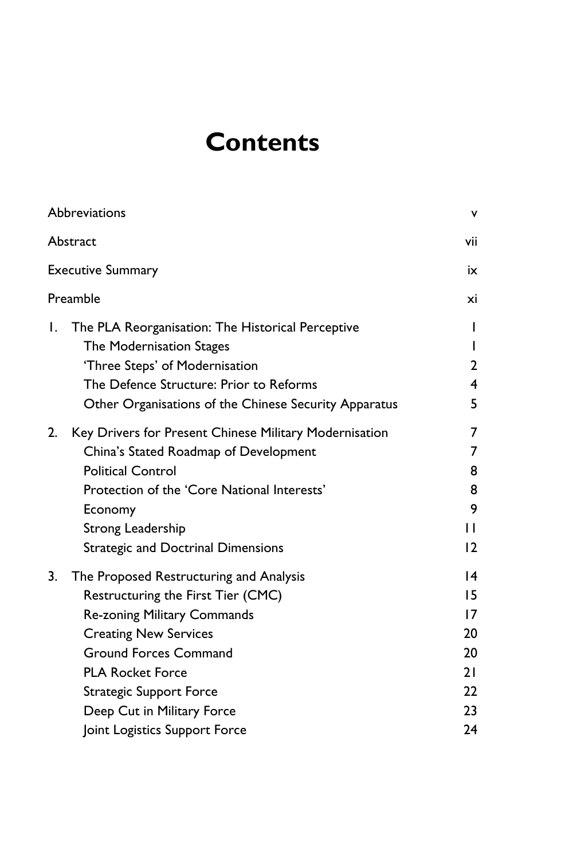# **Contents**

| Abbreviations                                                                                                                                                                                                                                                                                                         | ٧                                                       |
|-----------------------------------------------------------------------------------------------------------------------------------------------------------------------------------------------------------------------------------------------------------------------------------------------------------------------|---------------------------------------------------------|
| Abstract                                                                                                                                                                                                                                                                                                              | vii                                                     |
| <b>Executive Summary</b>                                                                                                                                                                                                                                                                                              | ix                                                      |
| Preamble                                                                                                                                                                                                                                                                                                              | xi                                                      |
| Ι.<br>The PLA Reorganisation: The Historical Perceptive<br>The Modernisation Stages<br>'Three Steps' of Modernisation<br>The Defence Structure: Prior to Reforms<br>Other Organisations of the Chinese Security Apparatus                                                                                             | I<br>L<br>$\overline{2}$<br>4<br>5                      |
| Key Drivers for Present Chinese Military Modernisation<br>2.<br>China's Stated Roadmap of Development<br><b>Political Control</b><br>Protection of the 'Core National Interests'<br>Economy<br><b>Strong Leadership</b><br><b>Strategic and Doctrinal Dimensions</b>                                                  | 7<br>7<br>8<br>8<br>9<br>$\mathsf{L}$<br>$\overline{2}$ |
| The Proposed Restructuring and Analysis<br>3.<br>Restructuring the First Tier (CMC)<br><b>Re-zoning Military Commands</b><br><b>Creating New Services</b><br><b>Ground Forces Command</b><br><b>PLA Rocket Force</b><br><b>Strategic Support Force</b><br>Deep Cut in Military Force<br>Joint Logistics Support Force | 14<br>15<br>17<br>20<br>20<br>21<br>22<br>23<br>24      |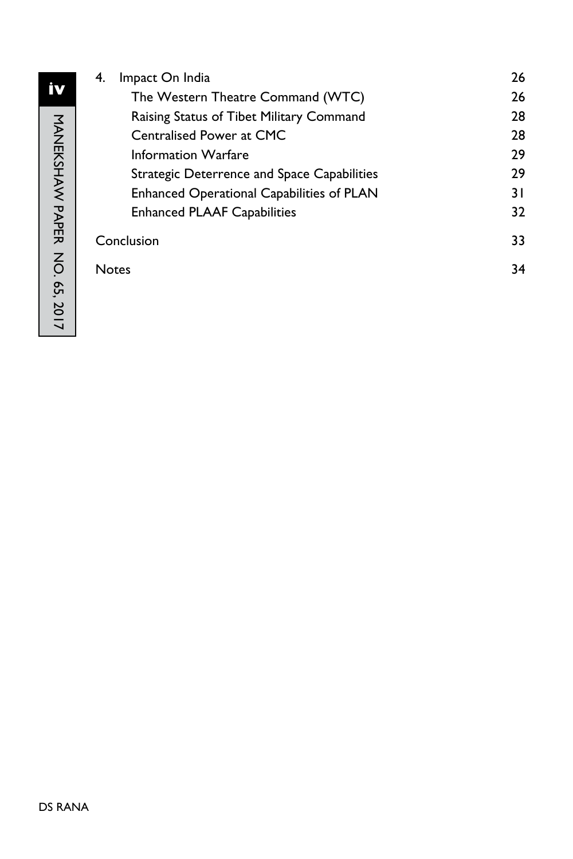| 4. | Impact On India                             | 26 |
|----|---------------------------------------------|----|
|    | The Western Theatre Command (WTC)           | 26 |
|    | Raising Status of Tibet Military Command    | 28 |
|    | Centralised Power at CMC                    | 28 |
|    | Information Warfare                         | 29 |
|    | Strategic Deterrence and Space Capabilities | 29 |
|    | Enhanced Operational Capabilities of PLAN   | 31 |
|    | <b>Enhanced PLAAF Capabilities</b>          | 32 |
|    | Conclusion                                  | 33 |
|    | <b>Notes</b>                                | 34 |
|    |                                             |    |

**iv**

MANEKSHAW PAPER

MANEKSHAW PAPER NO. 65, 2017

No. 65, 2017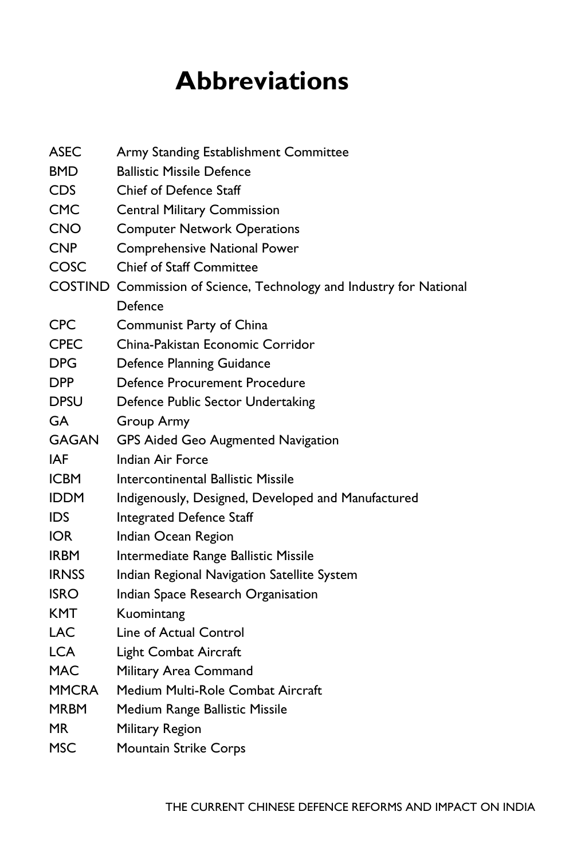# **Abbreviations**

ASEC Army Standing Establishment Committee BMD Ballistic Missile Defence CDS Chief of Defence Staff CMC Central Military Commission CNO Computer Network Operations CNP Comprehensive National Power COSC Chief of Staff Committee COSTIND Commission of Science, Technology and Industry for National Defence CPC Communist Party of China CPEC China-Pakistan Economic Corridor DPG Defence Planning Guidance DPP Defence Procurement Procedure DPSU Defence Public Sector Undertaking GA Group Army GAGAN GPS Aided Geo Augmented Navigation IAF Indian Air Force ICBM Intercontinental Ballistic Missile IDDM Indigenously, Designed, Developed and Manufactured IDS Integrated Defence Staff IOR Indian Ocean Region IRBM Intermediate Range Ballistic Missile IRNSS Indian Regional Navigation Satellite System ISRO Indian Space Research Organisation KMT Kuomintang LAC Line of Actual Control LCA Light Combat Aircraft MAC Military Area Command MMCRA Medium Multi-Role Combat Aircraft MRBM Medium Range Ballistic Missile MR Military Region MSC Mountain Strike Corps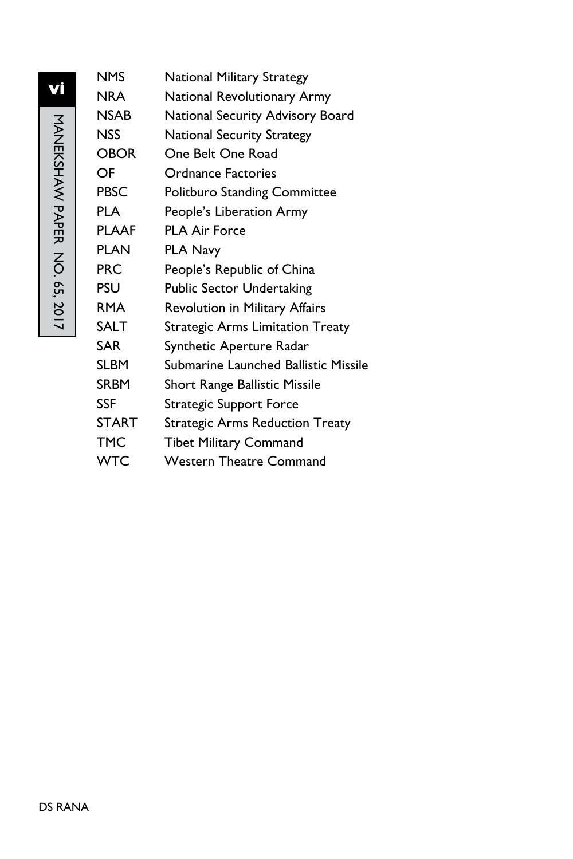| <b>NMS</b>   | <b>National Military Strategy</b>       |
|--------------|-----------------------------------------|
| NRA          | National Revolutionary Army             |
| <b>NSAB</b>  | National Security Advisory Board        |
| <b>NSS</b>   | <b>National Security Strategy</b>       |
| <b>OBOR</b>  | One Belt One Road                       |
| OF           | Ordnance Factories                      |
| <b>PBSC</b>  | Politburo Standing Committee            |
| <b>PLA</b>   | People's Liberation Army                |
| <b>PLAAF</b> | <b>PLA Air Force</b>                    |
| <b>PLAN</b>  | <b>PLA Navy</b>                         |
| <b>PRC</b>   | People's Republic of China              |
| PSU          | <b>Public Sector Undertaking</b>        |
| <b>RMA</b>   | <b>Revolution in Military Affairs</b>   |
| <b>SALT</b>  | <b>Strategic Arms Limitation Treaty</b> |
| <b>SAR</b>   | Synthetic Aperture Radar                |
| <b>SLBM</b>  | Submarine Launched Ballistic Missile    |
| <b>SRBM</b>  | Short Range Ballistic Missile           |
| SSF          | <b>Strategic Support Force</b>          |
| <b>START</b> | <b>Strategic Arms Reduction Treaty</b>  |
| TMC          | <b>Tibet Military Command</b>           |
| <b>WTC</b>   | Western Theatre Command                 |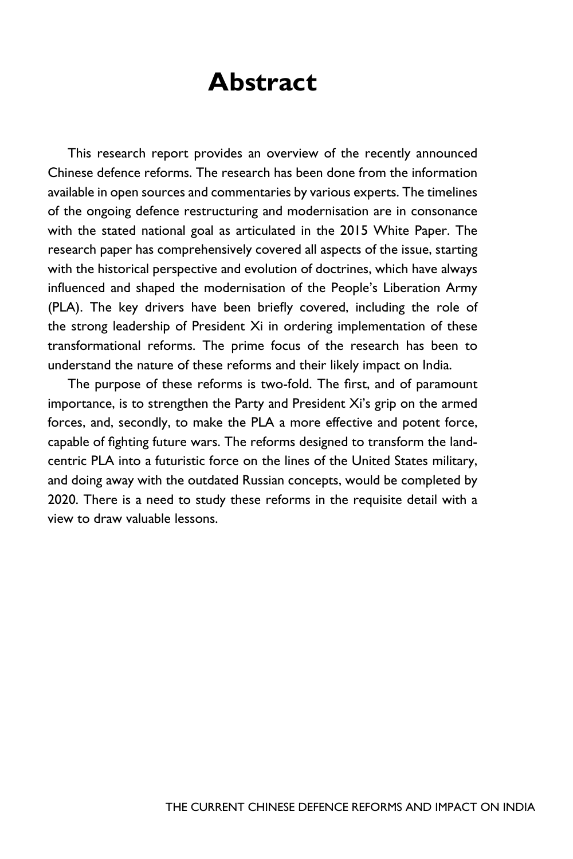## **Abstract**

This research report provides an overview of the recently announced Chinese defence reforms. The research has been done from the information available in open sources and commentaries by various experts. The timelines of the ongoing defence restructuring and modernisation are in consonance with the stated national goal as articulated in the 2015 White Paper. The research paper has comprehensively covered all aspects of the issue, starting with the historical perspective and evolution of doctrines, which have always influenced and shaped the modernisation of the People's Liberation Army (PLA). The key drivers have been briefly covered, including the role of the strong leadership of President Xi in ordering implementation of these transformational reforms. The prime focus of the research has been to understand the nature of these reforms and their likely impact on India.

The purpose of these reforms is two-fold. The first, and of paramount importance, is to strengthen the Party and President Xi's grip on the armed forces, and, secondly, to make the PLA a more effective and potent force, capable of fighting future wars. The reforms designed to transform the landcentric PLA into a futuristic force on the lines of the United States military, and doing away with the outdated Russian concepts, would be completed by 2020. There is a need to study these reforms in the requisite detail with a view to draw valuable lessons.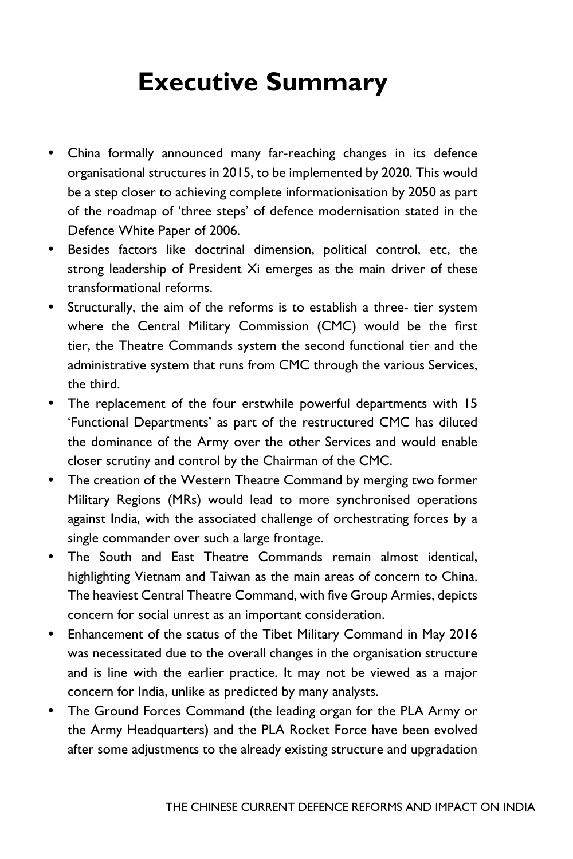# **Executive Summary**

- China formally announced many far-reaching changes in its defence organisational structures in 2015, to be implemented by 2020. This would be a step closer to achieving complete informationisation by 2050 as part of the roadmap of 'three steps' of defence modernisation stated in the Defence White Paper of 2006.
- Besides factors like doctrinal dimension, political control, etc, the strong leadership of President Xi emerges as the main driver of these transformational reforms.
- Structurally, the aim of the reforms is to establish a three- tier system where the Central Military Commission (CMC) would be the first tier, the Theatre Commands system the second functional tier and the administrative system that runs from CMC through the various Services, the third.
- The replacement of the four erstwhile powerful departments with 15 'Functional Departments' as part of the restructured CMC has diluted the dominance of the Army over the other Services and would enable closer scrutiny and control by the Chairman of the CMC.
- The creation of the Western Theatre Command by merging two former Military Regions (MRs) would lead to more synchronised operations against India, with the associated challenge of orchestrating forces by a single commander over such a large frontage.
- The South and East Theatre Commands remain almost identical, highlighting Vietnam and Taiwan as the main areas of concern to China. The heaviest Central Theatre Command, with five Group Armies, depicts concern for social unrest as an important consideration.
- Enhancement of the status of the Tibet Military Command in May 2016 was necessitated due to the overall changes in the organisation structure and is line with the earlier practice. It may not be viewed as a major concern for India, unlike as predicted by many analysts.
- The Ground Forces Command (the leading organ for the PLA Army or the Army Headquarters) and the PLA Rocket Force have been evolved after some adjustments to the already existing structure and upgradation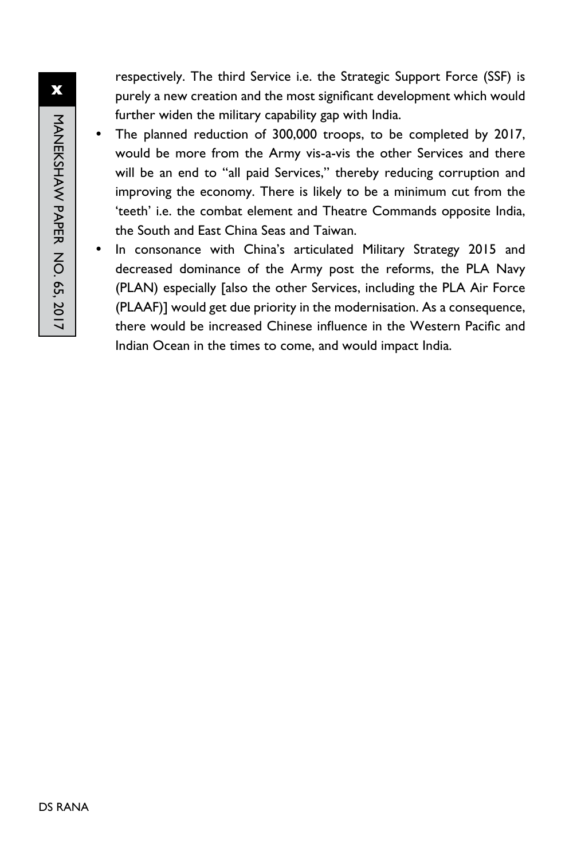respectively. The third Service i.e. the Strategic Support Force (SSF) is purely a new creation and the most significant development which would further widen the military capability gap with India.

- The planned reduction of 300,000 troops, to be completed by 2017, would be more from the Army vis-a-vis the other Services and there will be an end to "all paid Services," thereby reducing corruption and improving the economy. There is likely to be a minimum cut from the 'teeth' i.e. the combat element and Theatre Commands opposite India, the South and East China Seas and Taiwan.
- In consonance with China's articulated Military Strategy 2015 and decreased dominance of the Army post the reforms, the PLA Navy (PLAN) especially [also the other Services, including the PLA Air Force (PLAAF)] would get due priority in the modernisation. As a consequence, there would be increased Chinese influence in the Western Pacific and Indian Ocean in the times to come, and would impact India.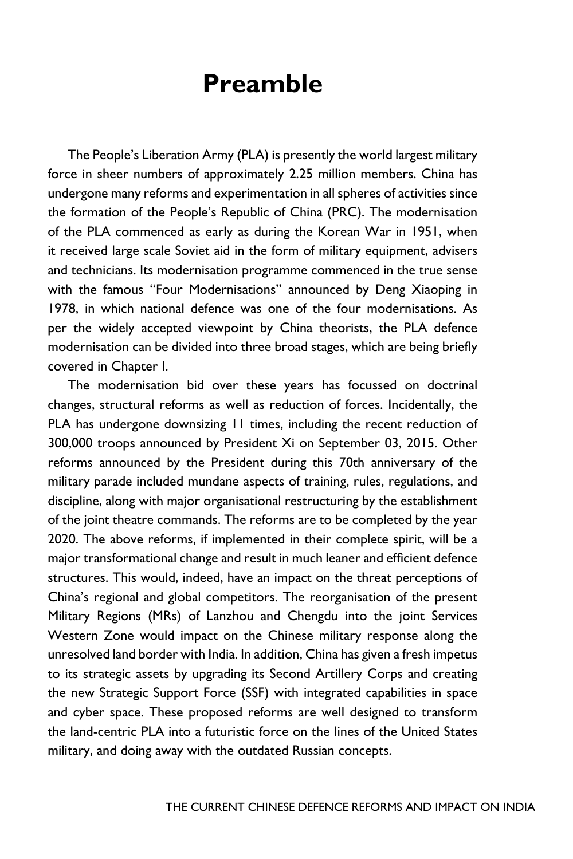### **Preamble**

The People's Liberation Army (PLA) is presently the world largest military force in sheer numbers of approximately 2.25 million members. China has undergone many reforms and experimentation in all spheres of activities since the formation of the People's Republic of China (PRC). The modernisation of the PLA commenced as early as during the Korean War in 1951, when it received large scale Soviet aid in the form of military equipment, advisers and technicians. Its modernisation programme commenced in the true sense with the famous "Four Modernisations" announced by Deng Xiaoping in 1978, in which national defence was one of the four modernisations. As per the widely accepted viewpoint by China theorists, the PLA defence modernisation can be divided into three broad stages, which are being briefly covered in Chapter I.

The modernisation bid over these years has focussed on doctrinal changes, structural reforms as well as reduction of forces. Incidentally, the PLA has undergone downsizing 11 times, including the recent reduction of 300,000 troops announced by President Xi on September 03, 2015. Other reforms announced by the President during this 70th anniversary of the military parade included mundane aspects of training, rules, regulations, and discipline, along with major organisational restructuring by the establishment of the joint theatre commands. The reforms are to be completed by the year 2020. The above reforms, if implemented in their complete spirit, will be a major transformational change and result in much leaner and efficient defence structures. This would, indeed, have an impact on the threat perceptions of China's regional and global competitors. The reorganisation of the present Military Regions (MRs) of Lanzhou and Chengdu into the joint Services Western Zone would impact on the Chinese military response along the unresolved land border with India. In addition, China has given a fresh impetus to its strategic assets by upgrading its Second Artillery Corps and creating the new Strategic Support Force (SSF) with integrated capabilities in space and cyber space. These proposed reforms are well designed to transform the land-centric PLA into a futuristic force on the lines of the United States military, and doing away with the outdated Russian concepts.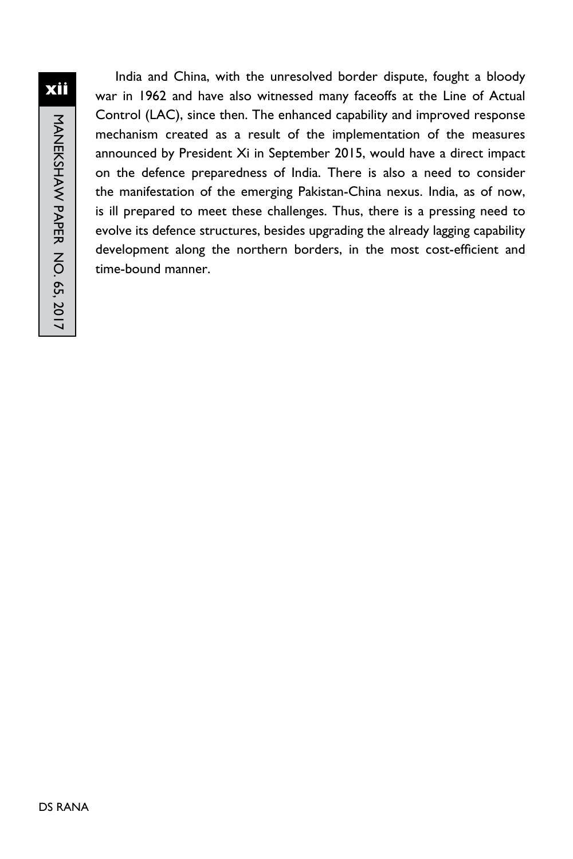India and China, with the unresolved border dispute, fought a bloody war in 1962 and have also witnessed many faceoffs at the Line of Actual Control (LAC), since then. The enhanced capability and improved response mechanism created as a result of the implementation of the measures announced by President Xi in September 2015, would have a direct impact on the defence preparedness of India. There is also a need to consider the manifestation of the emerging Pakistan-China nexus. India, as of now, is ill prepared to meet these challenges. Thus, there is a pressing need to evolve its defence structures, besides upgrading the already lagging capability development along the northern borders, in the most cost-efficient and time-bound manner.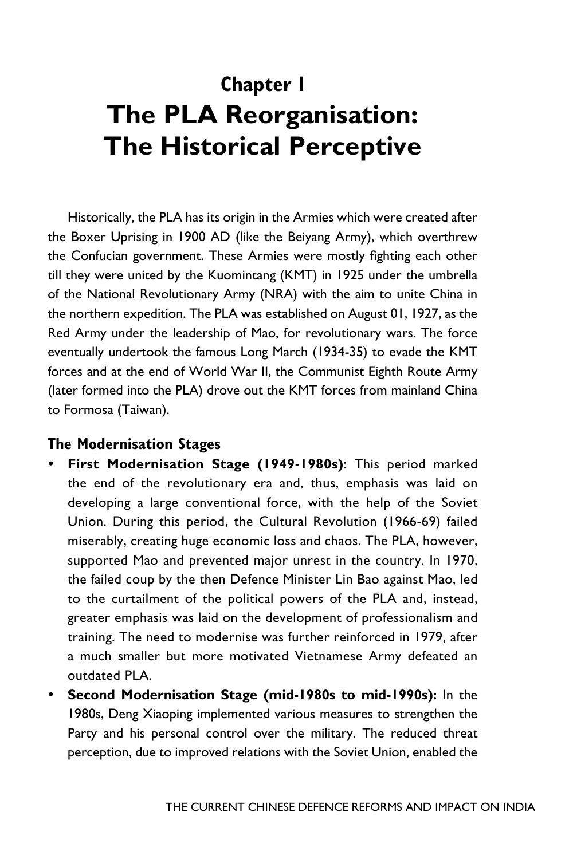# **Chapter I The PLA Reorganisation: The Historical Perceptive**

Historically, the PLA has its origin in the Armies which were created after the Boxer Uprising in 1900 AD (like the Beiyang Army), which overthrew the Confucian government. These Armies were mostly fighting each other till they were united by the Kuomintang (KMT) in 1925 under the umbrella of the National Revolutionary Army (NRA) with the aim to unite China in the northern expedition. The PLA was established on August 01, 1927, as the Red Army under the leadership of Mao, for revolutionary wars. The force eventually undertook the famous Long March (1934-35) to evade the KMT forces and at the end of World War II, the Communist Eighth Route Army (later formed into the PLA) drove out the KMT forces from mainland China to Formosa (Taiwan).

#### **The Modernisation Stages**

- y **First Modernisation Stage (1949-1980s)**: This period marked the end of the revolutionary era and, thus, emphasis was laid on developing a large conventional force, with the help of the Soviet Union. During this period, the Cultural Revolution (1966-69) failed miserably, creating huge economic loss and chaos. The PLA, however, supported Mao and prevented major unrest in the country. In 1970, the failed coup by the then Defence Minister Lin Bao against Mao, led to the curtailment of the political powers of the PLA and, instead, greater emphasis was laid on the development of professionalism and training. The need to modernise was further reinforced in 1979, after a much smaller but more motivated Vietnamese Army defeated an outdated PLA.
- **Second Modernisation Stage (mid-1980s to mid-1990s):** In the 1980s, Deng Xiaoping implemented various measures to strengthen the Party and his personal control over the military. The reduced threat perception, due to improved relations with the Soviet Union, enabled the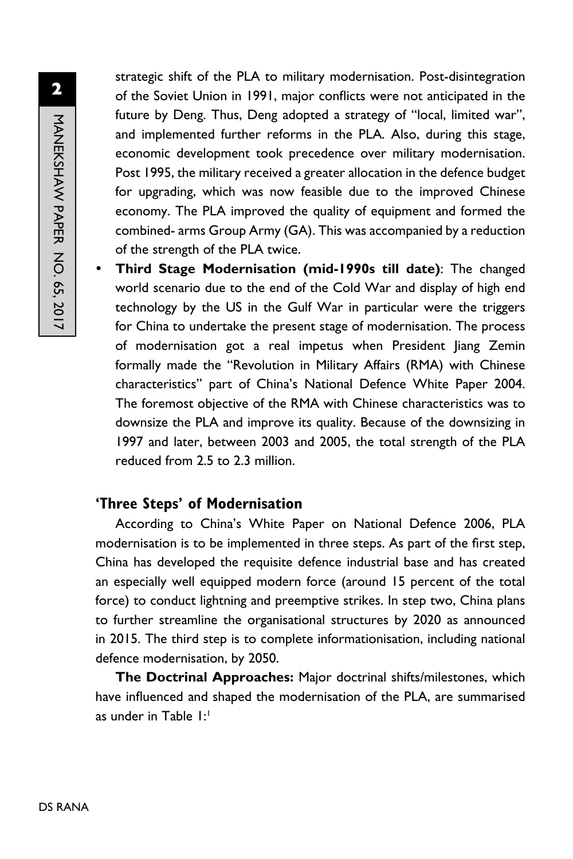strategic shift of the PLA to military modernisation. Post-disintegration of the Soviet Union in 1991, major conflicts were not anticipated in the future by Deng. Thus, Deng adopted a strategy of "local, limited war", and implemented further reforms in the PLA. Also, during this stage, economic development took precedence over military modernisation. Post 1995, the military received a greater allocation in the defence budget for upgrading, which was now feasible due to the improved Chinese economy. The PLA improved the quality of equipment and formed the combined- arms Group Army (GA). This was accompanied by a reduction of the strength of the PLA twice.

y **Third Stage Modernisation (mid-1990s till date)**: The changed world scenario due to the end of the Cold War and display of high end technology by the US in the Gulf War in particular were the triggers for China to undertake the present stage of modernisation. The process of modernisation got a real impetus when President Jiang Zemin formally made the "Revolution in Military Affairs (RMA) with Chinese characteristics" part of China's National Defence White Paper 2004. The foremost objective of the RMA with Chinese characteristics was to downsize the PLA and improve its quality. Because of the downsizing in 1997 and later, between 2003 and 2005, the total strength of the PLA reduced from 2.5 to 2.3 million.

#### **'Three Steps' of Modernisation**

According to China's White Paper on National Defence 2006, PLA modernisation is to be implemented in three steps. As part of the first step, China has developed the requisite defence industrial base and has created an especially well equipped modern force (around 15 percent of the total force) to conduct lightning and preemptive strikes. In step two, China plans to further streamline the organisational structures by 2020 as announced in 2015. The third step is to complete informationisation, including national defence modernisation, by 2050.

**The Doctrinal Approaches:** Major doctrinal shifts/milestones, which have influenced and shaped the modernisation of the PLA, are summarised as under in Table  $1$ :<sup>1</sup>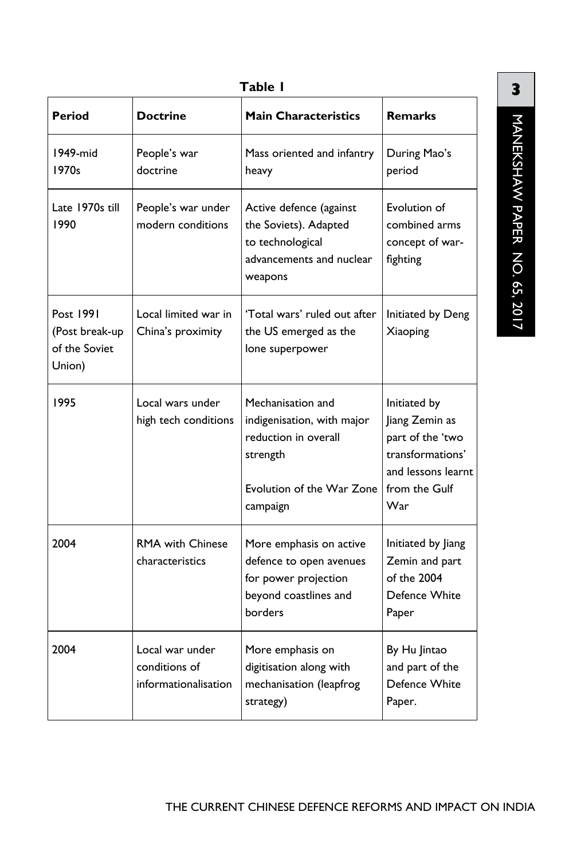| <b>Period</b>                                          | <b>Doctrine</b>                                          | <b>Main Characteristics</b>                                                                                                  | <b>Remarks</b>                                                                                                       |
|--------------------------------------------------------|----------------------------------------------------------|------------------------------------------------------------------------------------------------------------------------------|----------------------------------------------------------------------------------------------------------------------|
| 1949-mid<br>1970s                                      | People's war<br>doctrine                                 | Mass oriented and infantry<br>heavy                                                                                          | During Mao's<br>period                                                                                               |
| Late 1970s till<br>1990                                | People's war under<br>modern conditions                  | Active defence (against<br>the Soviets). Adapted<br>to technological<br>advancements and nuclear<br>weapons                  | Evolution of<br>combined arms<br>concept of war-<br>fighting                                                         |
| Post 1991<br>(Post break-up<br>of the Soviet<br>Union) | Local limited war in<br>China's proximity                | 'Total wars' ruled out after<br>the US emerged as the<br>lone superpower                                                     | Initiated by Deng<br>Xiaoping                                                                                        |
| 1995                                                   | Local wars under<br>high tech conditions                 | Mechanisation and<br>indigenisation, with major<br>reduction in overall<br>strength<br>Evolution of the War Zone<br>campaign | Initiated by<br>Jiang Zemin as<br>part of the 'two<br>transformations'<br>and lessons learnt<br>from the Gulf<br>War |
| 2004                                                   | <b>RMA with Chinese</b><br>characteristics               | More emphasis on active<br>defence to open avenues<br>for power projection<br>beyond coastlines and<br>borders               | Initiated by Jiang<br>Zemin and part<br>of the 2004<br>Defence White<br>Paper                                        |
| 2004                                                   | Local war under<br>conditions of<br>informationalisation | More emphasis on<br>digitisation along with<br>mechanisation (leapfrog<br>strategy)                                          | By Hu Jintao<br>and part of the<br>Defence White<br>Paper.                                                           |

### **Table 1**

**3**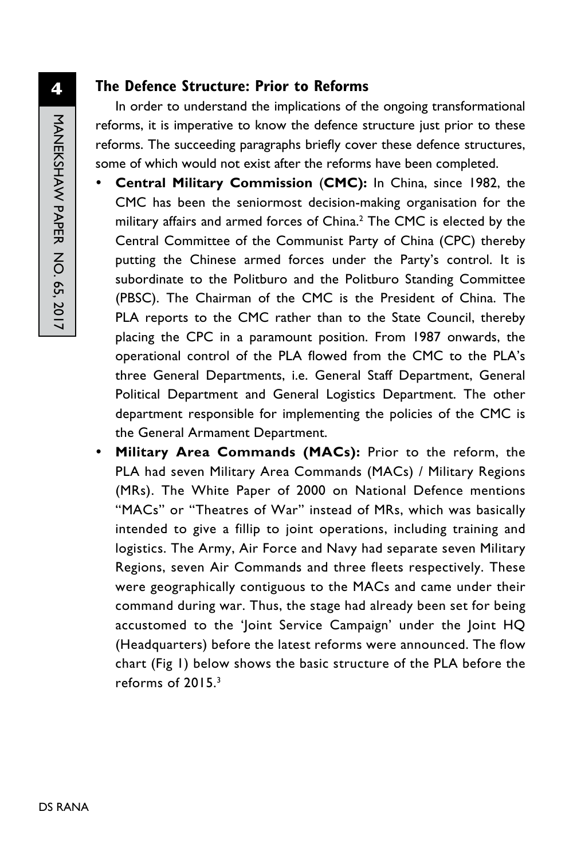#### **The Defence Structure: Prior to Reforms**

In order to understand the implications of the ongoing transformational reforms, it is imperative to know the defence structure just prior to these reforms. The succeeding paragraphs briefly cover these defence structures, some of which would not exist after the reforms have been completed.

- **Central Military Commission (CMC):** In China, since 1982, the CMC has been the seniormost decision-making organisation for the military affairs and armed forces of China.<sup>2</sup> The CMC is elected by the Central Committee of the Communist Party of China (CPC) thereby putting the Chinese armed forces under the Party's control. It is subordinate to the Politburo and the Politburo Standing Committee (PBSC). The Chairman of the CMC is the President of China. The PLA reports to the CMC rather than to the State Council, thereby placing the CPC in a paramount position. From 1987 onwards, the operational control of the PLA flowed from the CMC to the PLA's three General Departments, i.e. General Staff Department, General Political Department and General Logistics Department. The other department responsible for implementing the policies of the CMC is the General Armament Department.
- **Military Area Commands (MACs):** Prior to the reform, the PLA had seven Military Area Commands (MACs) / Military Regions (MRs). The White Paper of 2000 on National Defence mentions "MACs" or "Theatres of War" instead of MRs, which was basically intended to give a fillip to joint operations, including training and logistics. The Army, Air Force and Navy had separate seven Military Regions, seven Air Commands and three fleets respectively. These were geographically contiguous to the MACs and came under their command during war. Thus, the stage had already been set for being accustomed to the 'Joint Service Campaign' under the Joint HQ (Headquarters) before the latest reforms were announced. The flow chart (Fig 1) below shows the basic structure of the PLA before the reforms of 2015<sup>3</sup>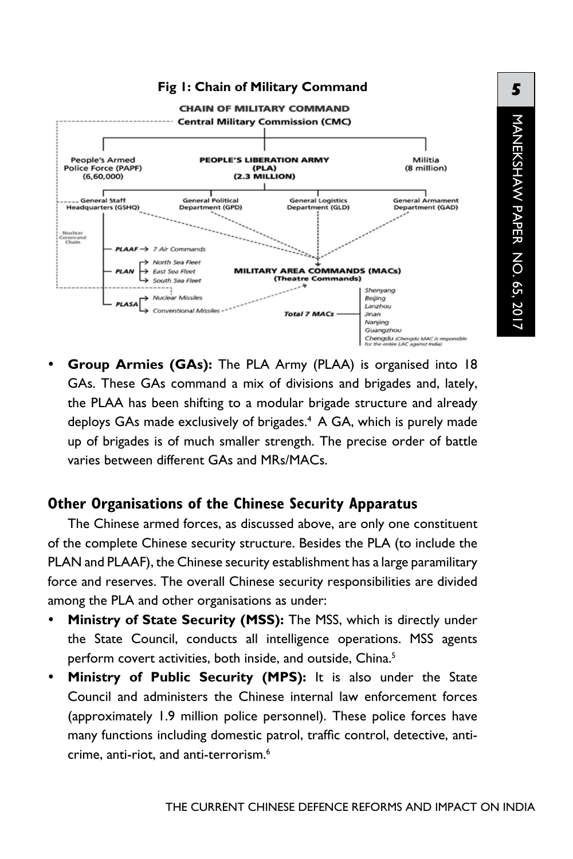**5**

#### **Fig 1: Chain of Military Command**



**Group Armies (GAs):** The PLA Army (PLAA) is organised into 18 GAs. These GAs command a mix of divisions and brigades and, lately, the PLAA has been shifting to a modular brigade structure and already deploys GAs made exclusively of brigades.<sup>4</sup> A GA, which is purely made up of brigades is of much smaller strength. The precise order of battle varies between different GAs and MRs/MACs.

### **Other Organisations of the Chinese Security Apparatus**

The Chinese armed forces, as discussed above, are only one constituent of the complete Chinese security structure. Besides the PLA (to include the PLAN and PLAAF), the Chinese security establishment has a large paramilitary force and reserves. The overall Chinese security responsibilities are divided among the PLA and other organisations as under:

- Ministry of State Security (MSS): The MSS, which is directly under the State Council, conducts all intelligence operations. MSS agents perform covert activities, both inside, and outside, China.<sup>5</sup>
- **Ministry of Public Security (MPS):** It is also under the State Council and administers the Chinese internal law enforcement forces (approximately 1.9 million police personnel). These police forces have many functions including domestic patrol, traffic control, detective, anticrime, anti-riot, and anti-terrorism.6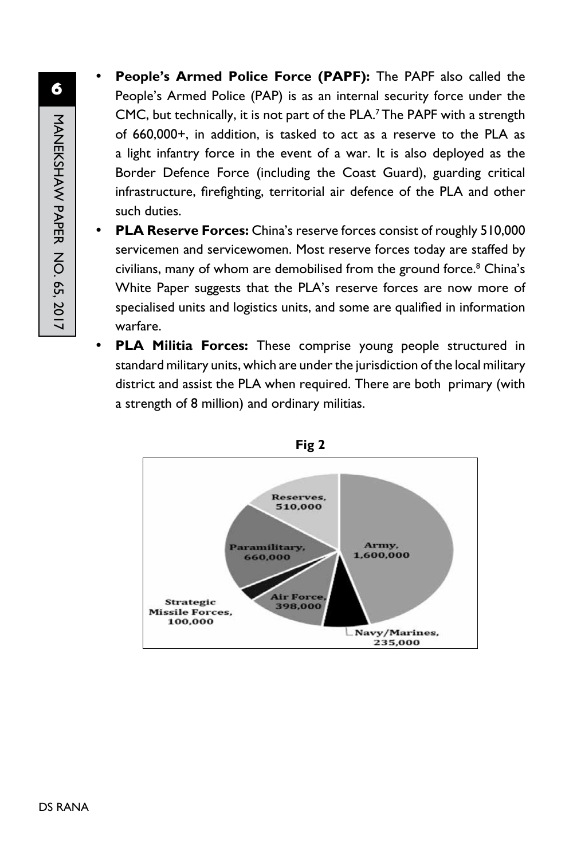- **People's Armed Police Force (PAPF):** The PAPF also called the People's Armed Police (PAP) is as an internal security force under the CMC, but technically, it is not part of the PLA. 7 The PAPF with a strength of 660,000+, in addition, is tasked to act as a reserve to the PLA as a light infantry force in the event of a war. It is also deployed as the Border Defence Force (including the Coast Guard), guarding critical infrastructure, firefighting, territorial air defence of the PLA and other such duties.
- **PLA Reserve Forces:** China's reserve forces consist of roughly 510,000 servicemen and servicewomen. Most reserve forces today are staffed by civilians, many of whom are demobilised from the ground force.<sup>8</sup> China's White Paper suggests that the PLA's reserve forces are now more of specialised units and logistics units, and some are qualified in information warfare.
- **PLA Militia Forces:** These comprise young people structured in standard military units, which are under the jurisdiction of the local military district and assist the PLA when required. There are both primary (with a strength of 8 million) and ordinary militias.



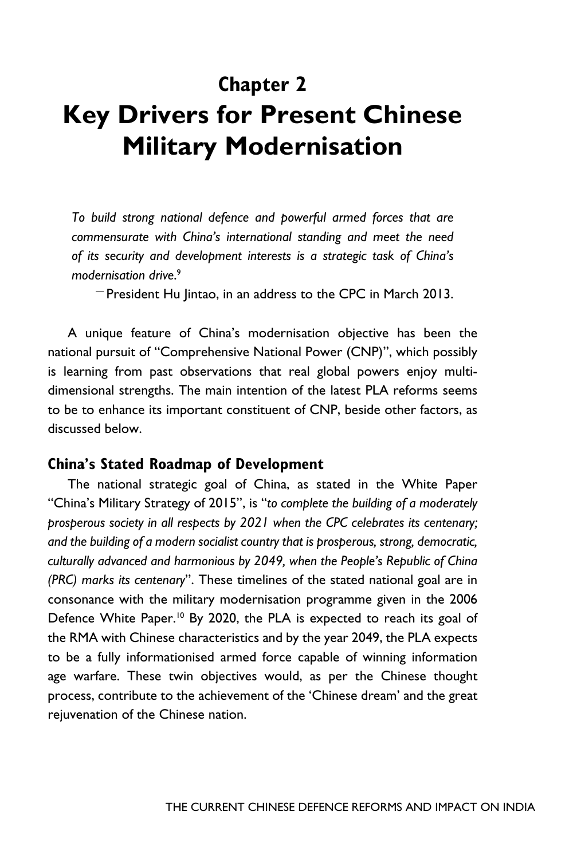# **Chapter 2 Key Drivers for Present Chinese Military Modernisation**

*To build strong national defence and powerful armed forces that are commensurate with China's international standing and meet the need of its security and development interests is a strategic task of China's modernisation drive*. 9

— President Hu Jintao, in an address to the CPC in March 2013.

A unique feature of China's modernisation objective has been the national pursuit of "Comprehensive National Power (CNP)", which possibly is learning from past observations that real global powers enjoy multidimensional strengths. The main intention of the latest PLA reforms seems to be to enhance its important constituent of CNP, beside other factors, as discussed below.

#### **China's Stated Roadmap of Development**

The national strategic goal of China, as stated in the White Paper "China's Military Strategy of 2015", is "*to complete the building of a moderately prosperous society in all respects by 2021 when the CPC celebrates its centenary; and the building of a modern socialist country that is prosperous, strong, democratic, culturally advanced and harmonious by 2049, when the People's Republic of China (PRC) marks its centenary*". These timelines of the stated national goal are in consonance with the military modernisation programme given in the 2006 Defence White Paper.<sup>10</sup> By 2020, the PLA is expected to reach its goal of the RMA with Chinese characteristics and by the year 2049, the PLA expects to be a fully informationised armed force capable of winning information age warfare. These twin objectives would, as per the Chinese thought process, contribute to the achievement of the 'Chinese dream' and the great rejuvenation of the Chinese nation.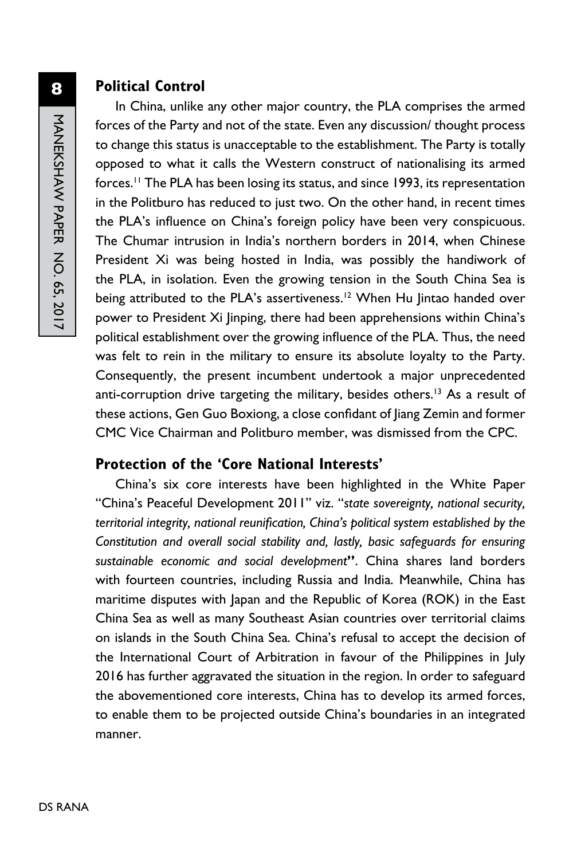In China, unlike any other major country, the PLA comprises the armed forces of the Party and not of the state. Even any discussion/ thought process to change this status is unacceptable to the establishment. The Party is totally opposed to what it calls the Western construct of nationalising its armed forces.11 The PLA has been losing its status, and since 1993, its representation in the Politburo has reduced to just two. On the other hand, in recent times the PLA's influence on China's foreign policy have been very conspicuous. The Chumar intrusion in India's northern borders in 2014, when Chinese President Xi was being hosted in India, was possibly the handiwork of the PLA, in isolation. Even the growing tension in the South China Sea is being attributed to the PLA's assertiveness.<sup>12</sup> When Hu Jintao handed over power to President Xi Jinping, there had been apprehensions within China's political establishment over the growing influence of the PLA. Thus, the need was felt to rein in the military to ensure its absolute loyalty to the Party. Consequently, the present incumbent undertook a major unprecedented anti-corruption drive targeting the military, besides others.<sup>13</sup> As a result of these actions, Gen Guo Boxiong, a close confidant of Jiang Zemin and former CMC Vice Chairman and Politburo member, was dismissed from the CPC.

### **Protection of the 'Core National Interests'**

China's six core interests have been highlighted in the White Paper "China's Peaceful Development 2011" viz. "*state sovereignty, national security, territorial integrity, national reunification, China's political system established by the Constitution and overall social stability and, lastly, basic safeguards for ensuring sustainable economic and social development***"**. China shares land borders with fourteen countries, including Russia and India. Meanwhile, China has maritime disputes with Japan and the Republic of Korea (ROK) in the East China Sea as well as many Southeast Asian countries over territorial claims on islands in the South China Sea. China's refusal to accept the decision of the International Court of Arbitration in favour of the Philippines in July 2016 has further aggravated the situation in the region. In order to safeguard the abovementioned core interests, China has to develop its armed forces, to enable them to be projected outside China's boundaries in an integrated manner.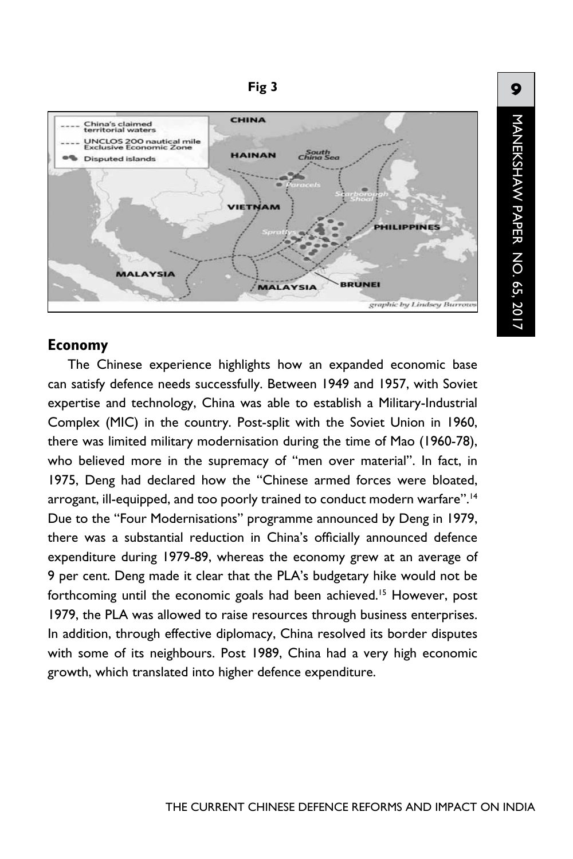

**9**

manekshaw Paper

MANEKSHAW PAPER NO. 65, 2017

No. 65, 2017

#### **Economy**

The Chinese experience highlights how an expanded economic base can satisfy defence needs successfully. Between 1949 and 1957, with Soviet expertise and technology, China was able to establish a Military-Industrial Complex (MIC) in the country. Post-split with the Soviet Union in 1960, there was limited military modernisation during the time of Mao (1960-78), who believed more in the supremacy of "men over material". In fact, in 1975, Deng had declared how the "Chinese armed forces were bloated, arrogant, ill-equipped, and too poorly trained to conduct modern warfare".<sup>14</sup> Due to the "Four Modernisations" programme announced by Deng in 1979, there was a substantial reduction in China's officially announced defence expenditure during 1979-89, whereas the economy grew at an average of 9 per cent. Deng made it clear that the PLA's budgetary hike would not be forthcoming until the economic goals had been achieved.<sup>15</sup> However, post 1979, the PLA was allowed to raise resources through business enterprises. In addition, through effective diplomacy, China resolved its border disputes with some of its neighbours. Post 1989, China had a very high economic growth, which translated into higher defence expenditure.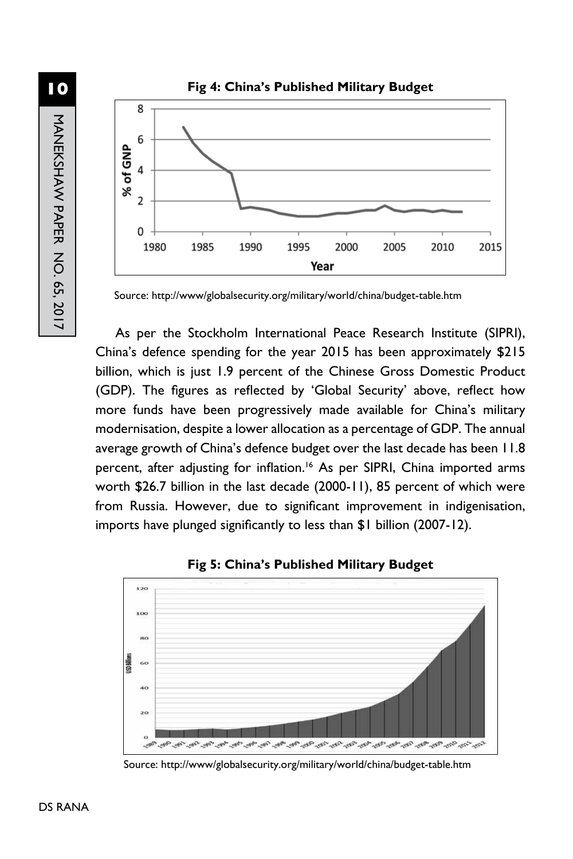

Source: http://www/globalsecurity.org/military/world/china/budget-table.htm

As per the Stockholm International Peace Research Institute (SIPRI), China's defence spending for the year 2015 has been approximately \$215 billion, which is just 1.9 percent of the Chinese Gross Domestic Product (GDP). The figures as reflected by 'Global Security' above, reflect how more funds have been progressively made available for China's military modernisation, despite a lower allocation as a percentage of GDP. The annual average growth of China's defence budget over the last decade has been 11.8 percent, after adjusting for inflation.<sup>16</sup> As per SIPRI, China imported arms worth \$26.7 billion in the last decade (2000-11), 85 percent of which were from Russia. However, due to significant improvement in indigenisation, imports have plunged significantly to less than \$1 billion (2007-12).



**Fig 5: China's Published Military Budget**

Source: http://www/globalsecurity.org/military/world/china/budget-table.htm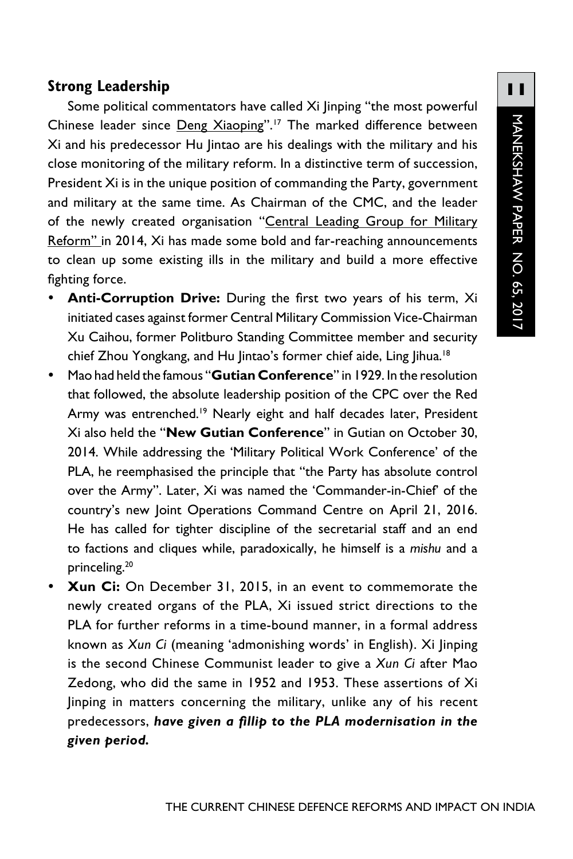#### **Strong Leadership**

Some political commentators have called Xi Jinping "the most powerful Chinese leader since Deng Xiaoping".<sup>17</sup> The marked difference between Xi and his predecessor Hu Jintao are his dealings with the military and his close monitoring of the military reform. In a distinctive term of succession, President Xi is in the unique position of commanding the Party, government and military at the same time. As Chairman of the CMC, and the leader of the newly created organisation "Central Leading Group for Military Reform" in 2014, Xi has made some bold and far-reaching announcements to clean up some existing ills in the military and build a more effective fighting force.

- Anti-Corruption Drive: During the first two years of his term, Xi initiated cases against former Central Military Commission Vice-Chairman Xu Caihou, former Politburo Standing Committee member and security chief Zhou Yongkang, and Hu Jintao's former chief aide, Ling Jihua.<sup>18</sup>
- **•** Mao had held the famous "Gutian Conference" in 1929. In the resolution that followed, the absolute leadership position of the CPC over the Red Army was entrenched.<sup>19</sup> Nearly eight and half decades later, President Xi also held the "**New Gutian Conference**" in Gutian on October 30, 2014. While addressing the 'Military Political Work Conference' of the PLA, he reemphasised the principle that "the Party has absolute control over the Army". Later, Xi was named the 'Commander-in-Chief' of the country's new Joint Operations Command Centre on April 21, 2016. He has called for tighter discipline of the secretarial staff and an end to factions and cliques while, paradoxically, he himself is a *mishu* and a princeling.20
- **Xun Ci:** On December 31, 2015, in an event to commemorate the newly created organs of the PLA, Xi issued strict directions to the PLA for further reforms in a time-bound manner, in a formal address known as *Xun Ci* (meaning 'admonishing words' in English). Xi Jinping is the second Chinese Communist leader to give a *Xun Ci* after Mao Zedong, who did the same in 1952 and 1953. These assertions of Xi Jinping in matters concerning the military, unlike any of his recent predecessors, *have given a fillip to the PLA modernisation in the given period.*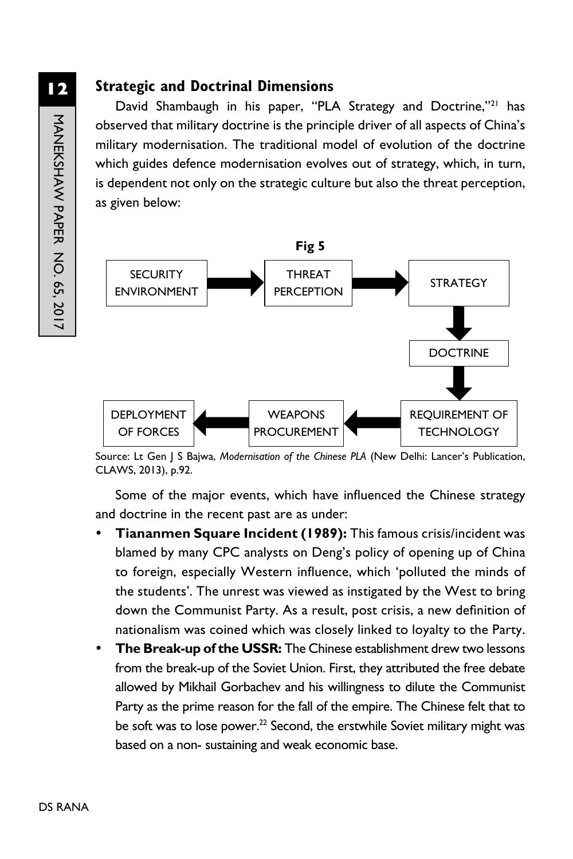### **Strategic and Doctrinal Dimensions**

David Shambaugh in his paper, "PLA Strategy and Doctrine,"<sup>21</sup> has observed that military doctrine is the principle driver of all aspects of China's military modernisation. The traditional model of evolution of the doctrine which guides defence modernisation evolves out of strategy, which, in turn, is dependent not only on the strategic culture but also the threat perception, as given below:



Source: Lt Gen J S Bajwa, *Modernisation of the Chinese PLA* (New Delhi: Lancer's Publication, CLAWS, 2013), p.92.

Some of the major events, which have influenced the Chinese strategy and doctrine in the recent past are as under:

- **Tiananmen Square Incident (1989):** This famous crisis/incident was blamed by many CPC analysts on Deng's policy of opening up of China to foreign, especially Western influence, which 'polluted the minds of the students'. The unrest was viewed as instigated by the West to bring down the Communist Party. As a result, post crisis, a new definition of nationalism was coined which was closely linked to loyalty to the Party.
- **The Break-up of the USSR:** The Chinese establishment drew two lessons from the break-up of the Soviet Union. First, they attributed the free debate allowed by Mikhail Gorbachev and his willingness to dilute the Communist Party as the prime reason for the fall of the empire. The Chinese felt that to be soft was to lose power.<sup>22</sup> Second, the erstwhile Soviet military might was based on a non- sustaining and weak economic base.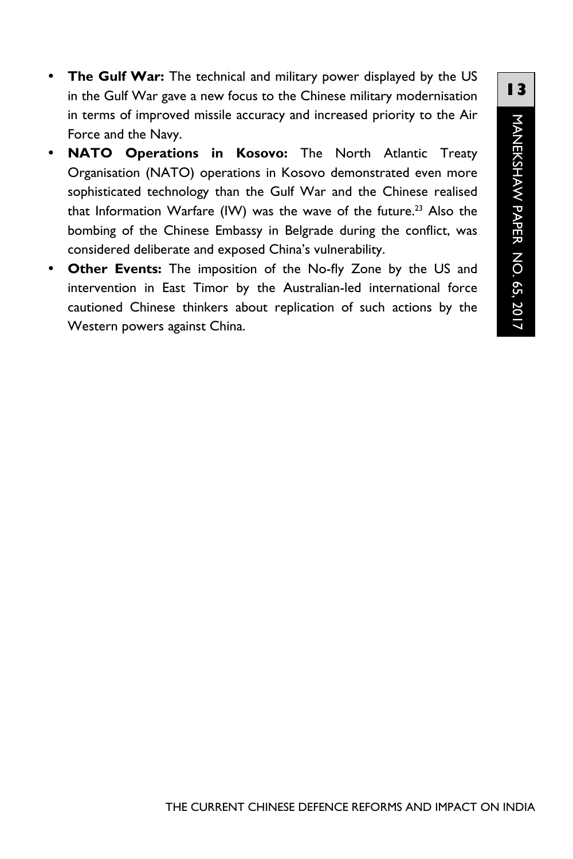- **The Gulf War:** The technical and military power displayed by the US in the Gulf War gave a new focus to the Chinese military modernisation in terms of improved missile accuracy and increased priority to the Air Force and the Navy.
- **NATO Operations in Kosovo:** The North Atlantic Treaty Organisation (NATO) operations in Kosovo demonstrated even more sophisticated technology than the Gulf War and the Chinese realised that Information Warfare (IW) was the wave of the future.<sup>23</sup> Also the bombing of the Chinese Embassy in Belgrade during the conflict, was considered deliberate and exposed China's vulnerability.
- Other Events: The imposition of the No-fly Zone by the US and intervention in East Timor by the Australian-led international force cautioned Chinese thinkers about replication of such actions by the Western powers against China.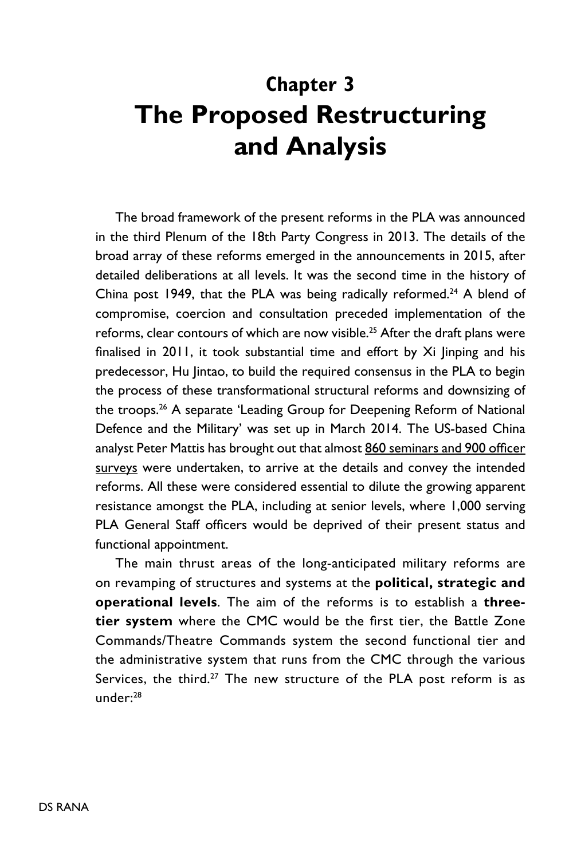# **Chapter 3 The Proposed Restructuring and Analysis**

The broad framework of the present reforms in the PLA was announced in the third Plenum of the 18th Party Congress in 2013. The details of the broad array of these reforms emerged in the announcements in 2015, after detailed deliberations at all levels. It was the second time in the history of China post 1949, that the PLA was being radically reformed.<sup>24</sup> A blend of compromise, coercion and consultation preceded implementation of the reforms, clear contours of which are now visible.<sup>25</sup> After the draft plans were finalised in 2011, it took substantial time and effort by Xi Jinping and his predecessor, Hu Jintao, to build the required consensus in the PLA to begin the process of these transformational structural reforms and downsizing of the troops.<sup>26</sup> A separate 'Leading Group for Deepening Reform of National Defence and the Military' was set up in March 2014. The US-based China analyst Peter Mattis has brought out that almost 860 seminars and 900 officer surveys were undertaken, to arrive at the details and convey the intended reforms. All these were considered essential to dilute the growing apparent resistance amongst the PLA, including at senior levels, where 1,000 serving PLA General Staff officers would be deprived of their present status and functional appointment.

The main thrust areas of the long-anticipated military reforms are on revamping of structures and systems at the **political, strategic and operational levels**. The aim of the reforms is to establish a **threetier system** where the CMC would be the first tier, the Battle Zone Commands/Theatre Commands system the second functional tier and the administrative system that runs from the CMC through the various Services, the third.<sup>27</sup> The new structure of the PLA post reform is as under:28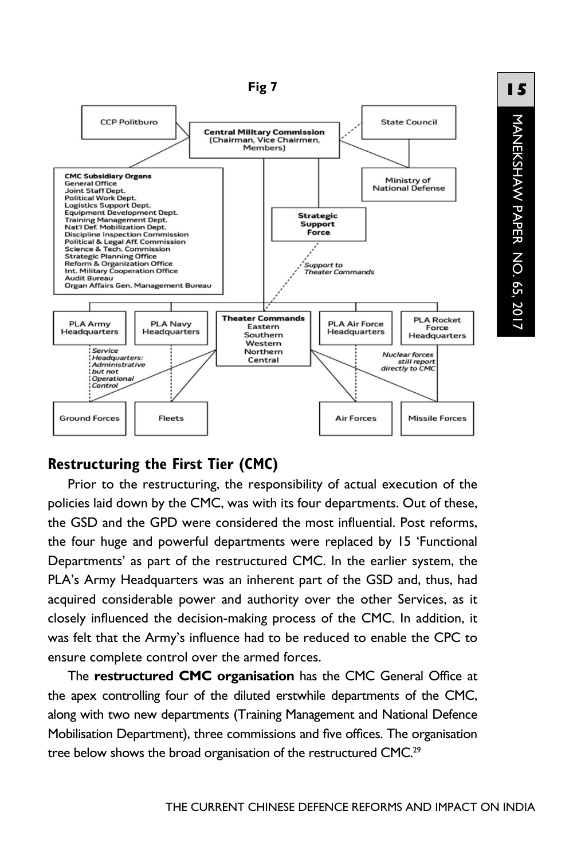

### **Restructuring the First Tier (CMC)**

Prior to the restructuring, the responsibility of actual execution of the policies laid down by the CMC, was with its four departments. Out of these, the GSD and the GPD were considered the most influential. Post reforms, the four huge and powerful departments were replaced by 15 'Functional Departments' as part of the restructured CMC. In the earlier system, the PLA's Army Headquarters was an inherent part of the GSD and, thus, had acquired considerable power and authority over the other Services, as it closely influenced the decision-making process of the CMC. In addition, it was felt that the Army's influence had to be reduced to enable the CPC to ensure complete control over the armed forces.

The **restructured CMC organisation** has the CMC General Office at the apex controlling four of the diluted erstwhile departments of the CMC, along with two new departments (Training Management and National Defence Mobilisation Department), three commissions and five offices. The organisation tree below shows the broad organisation of the restructured CMC.<sup>29</sup>

**15**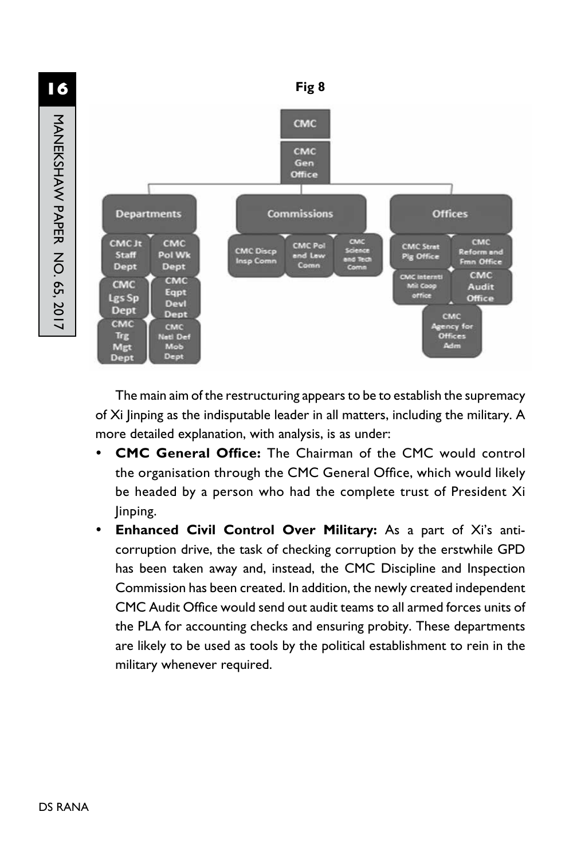MANEKSHAW PAPER NO. 65, 2017 MANEKSHAW PAPER No. 65, 2017

**16**



The main aim of the restructuring appears to be to establish the supremacy of Xi Jinping as the indisputable leader in all matters, including the military. A more detailed explanation, with analysis, is as under:

- **CMC General Office:** The Chairman of the CMC would control the organisation through the CMC General Office, which would likely be headed by a person who had the complete trust of President Xi Jinping.
- **Enhanced Civil Control Over Military:** As a part of Xi's anticorruption drive, the task of checking corruption by the erstwhile GPD has been taken away and, instead, the CMC Discipline and Inspection Commission has been created. In addition, the newly created independent CMC Audit Office would send out audit teams to all armed forces units of the PLA for accounting checks and ensuring probity. These departments are likely to be used as tools by the political establishment to rein in the military whenever required.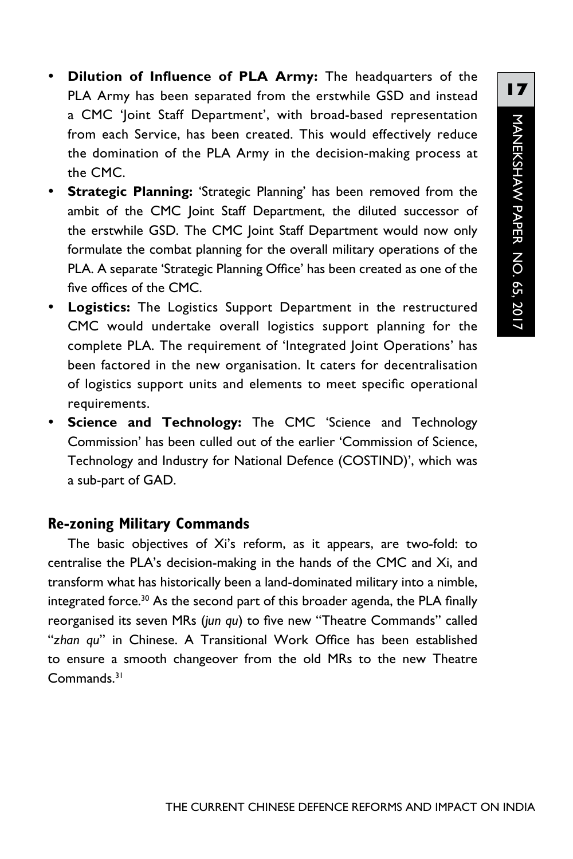- **Dilution of Influence of PLA Army:** The headquarters of the PLA Army has been separated from the erstwhile GSD and instead a CMC 'Joint Staff Department', with broad-based representation from each Service, has been created. This would effectively reduce the domination of the PLA Army in the decision-making process at the CMC.
- **Strategic Planning:** 'Strategic Planning' has been removed from the ambit of the CMC Joint Staff Department, the diluted successor of the erstwhile GSD. The CMC Joint Staff Department would now only formulate the combat planning for the overall military operations of the PLA. A separate 'Strategic Planning Office' has been created as one of the five offices of the CMC.
- **Logistics:** The Logistics Support Department in the restructured CMC would undertake overall logistics support planning for the complete PLA. The requirement of 'Integrated Joint Operations' has been factored in the new organisation. It caters for decentralisation of logistics support units and elements to meet specific operational requirements.
- **Science and Technology:** The CMC 'Science and Technology Commission' has been culled out of the earlier 'Commission of Science, Technology and Industry for National Defence (COSTIND)', which was a sub-part of GAD.

#### **Re-zoning Military Commands**

The basic objectives of Xi's reform, as it appears, are two-fold: to centralise the PLA's decision-making in the hands of the CMC and Xi, and transform what has historically been a land-dominated military into a nimble, integrated force.<sup>30</sup> As the second part of this broader agenda, the PLA finally reorganised its seven MRs (*jun qu*) to five new "Theatre Commands" called "*zhan qu*" in Chinese. A Transitional Work Office has been established to ensure a smooth changeover from the old MRs to the new Theatre Commands.31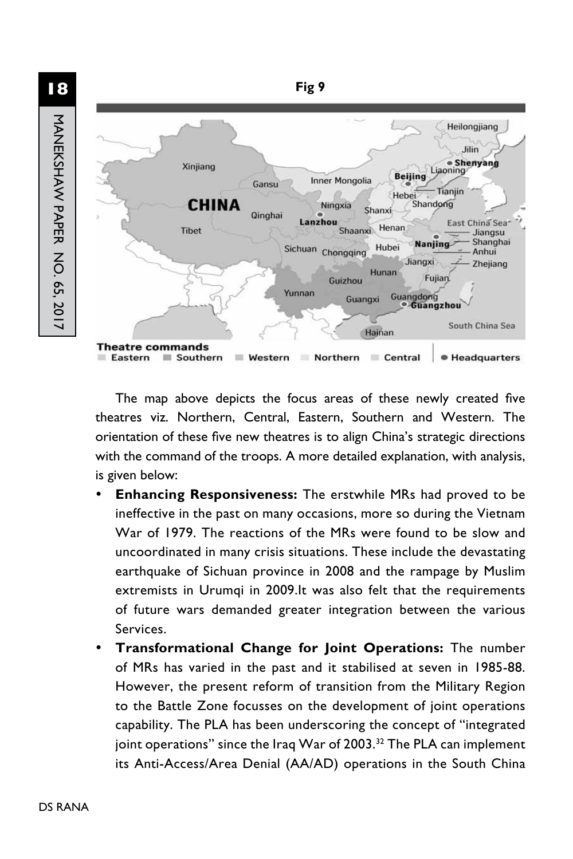**18**MANEKSHAW PAPER NO. 65, 2017 MANEKSHAW PAPER No. 65, 2017



The map above depicts the focus areas of these newly created five theatres viz. Northern, Central, Eastern, Southern and Western. The orientation of these five new theatres is to align China's strategic directions with the command of the troops. A more detailed explanation, with analysis, is given below:

- **Enhancing Responsiveness:** The erstwhile MRs had proved to be ineffective in the past on many occasions, more so during the Vietnam War of 1979. The reactions of the MRs were found to be slow and uncoordinated in many crisis situations. These include the devastating earthquake of Sichuan province in 2008 and the rampage by Muslim extremists in Urumqi in 2009.It was also felt that the requirements of future wars demanded greater integration between the various Services.
- **Transformational Change for Joint Operations:** The number of MRs has varied in the past and it stabilised at seven in 1985-88. However, the present reform of transition from the Military Region to the Battle Zone focusses on the development of joint operations capability. The PLA has been underscoring the concept of "integrated joint operations" since the Iraq War of 2003.<sup>32</sup> The PLA can implement its Anti-Access/Area Denial (AA/AD) operations in the South China

**Fig 9**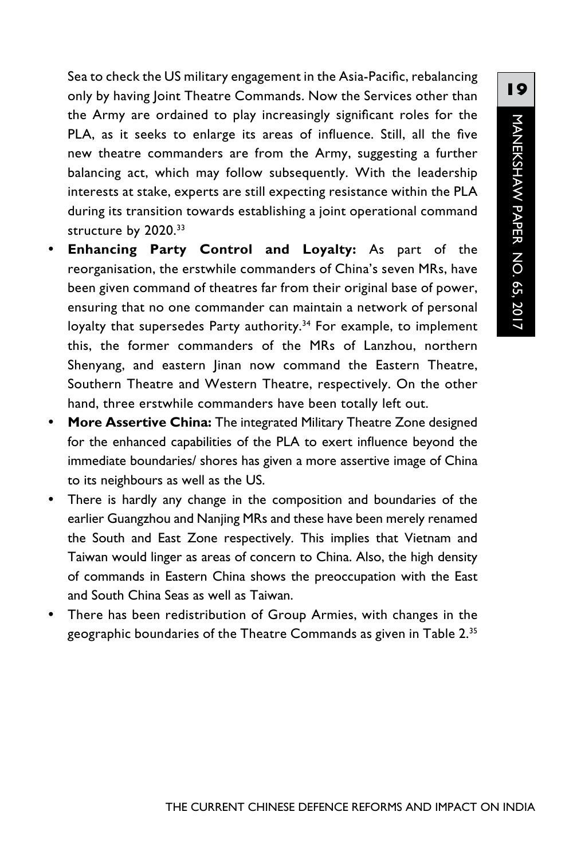Sea to check the US military engagement in the Asia-Pacific, rebalancing only by having Joint Theatre Commands. Now the Services other than the Army are ordained to play increasingly significant roles for the PLA, as it seeks to enlarge its areas of influence. Still, all the five new theatre commanders are from the Army, suggesting a further balancing act, which may follow subsequently. With the leadership interests at stake, experts are still expecting resistance within the PLA during its transition towards establishing a joint operational command structure by 2020.<sup>33</sup>

- **Enhancing Party Control and Loyalty:** As part of the reorganisation, the erstwhile commanders of China's seven MRs, have been given command of theatres far from their original base of power, ensuring that no one commander can maintain a network of personal loyalty that supersedes Party authority.<sup>34</sup> For example, to implement this, the former commanders of the MRs of Lanzhou, northern Shenyang, and eastern Jinan now command the Eastern Theatre, Southern Theatre and Western Theatre, respectively. On the other hand, three erstwhile commanders have been totally left out.
- **More Assertive China:** The integrated Military Theatre Zone designed for the enhanced capabilities of the PLA to exert influence beyond the immediate boundaries/ shores has given a more assertive image of China to its neighbours as well as the US.
- There is hardly any change in the composition and boundaries of the earlier Guangzhou and Nanjing MRs and these have been merely renamed the South and East Zone respectively. This implies that Vietnam and Taiwan would linger as areas of concern to China. Also, the high density of commands in Eastern China shows the preoccupation with the East and South China Seas as well as Taiwan.
- There has been redistribution of Group Armies, with changes in the geographic boundaries of the Theatre Commands as given in Table 2.35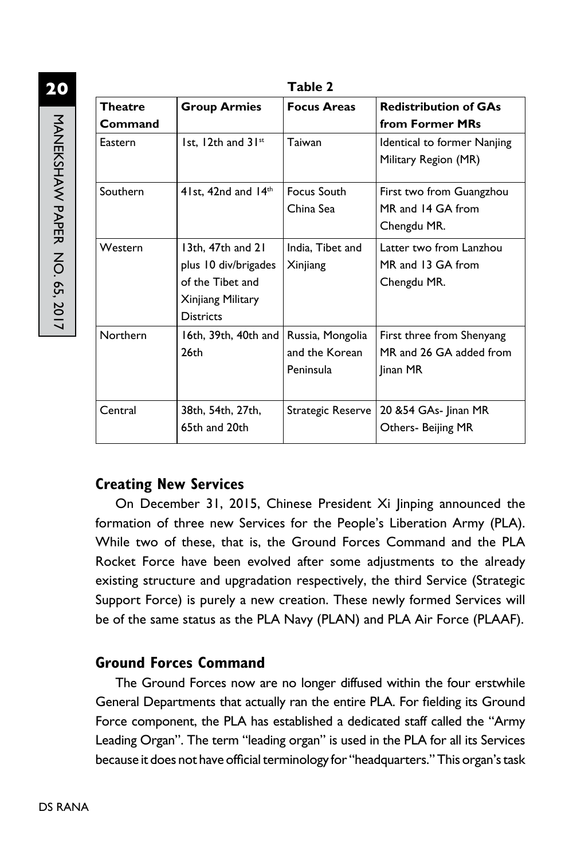|                |                                                                                                        | Table 2                                         |                                                                  |
|----------------|--------------------------------------------------------------------------------------------------------|-------------------------------------------------|------------------------------------------------------------------|
| <b>Theatre</b> | <b>Group Armies</b>                                                                                    | <b>Focus Areas</b>                              | <b>Redistribution of GAs</b>                                     |
| Command        |                                                                                                        |                                                 | from Former MRs                                                  |
| Eastern        | 1st. $12$ th and $31$ <sup>st</sup>                                                                    | Taiwan                                          | Identical to former Nanjing<br>Military Region (MR)              |
| Southern       | 4 Ist. 42nd and $14th$                                                                                 | Focus South<br>China Sea                        | First two from Guangzhou<br>MR and 14 GA from<br>Chengdu MR.     |
| Western        | 13th, 47th and 21<br>plus 10 div/brigades<br>of the Tibet and<br>Xinjiang Military<br><b>Districts</b> | India, Tibet and<br>Xinjiang                    | Latter two from Lanzhou<br>MR and 13 GA from<br>Chengdu MR.      |
| Northern       | 16th, $39th$ , $40th$ and<br>26th                                                                      | Russia, Mongolia<br>and the Korean<br>Peninsula | First three from Shenyang<br>MR and 26 GA added from<br>Jinan MR |
| Central        | 38th, 54th, 27th,<br>$65th$ and $20th$                                                                 | Strategic Reserve                               | 20 & 54 GAs- Jinan MR<br>Others- Beijing MR                      |

### **Creating New Services**

On December 31, 2015, Chinese President Xi Jinping announced the formation of three new Services for the People's Liberation Army (PLA). While two of these, that is, the Ground Forces Command and the PLA Rocket Force have been evolved after some adjustments to the already existing structure and upgradation respectively, the third Service (Strategic Support Force) is purely a new creation. These newly formed Services will be of the same status as the PLA Navy (PLAN) and PLA Air Force (PLAAF).

#### **Ground Forces Command**

The Ground Forces now are no longer diffused within the four erstwhile General Departments that actually ran the entire PLA. For fielding its Ground Force component, the PLA has established a dedicated staff called the "Army Leading Organ". The term "leading organ" is used in the PLA for all its Services because it does not have official terminology for "headquarters." This organ's task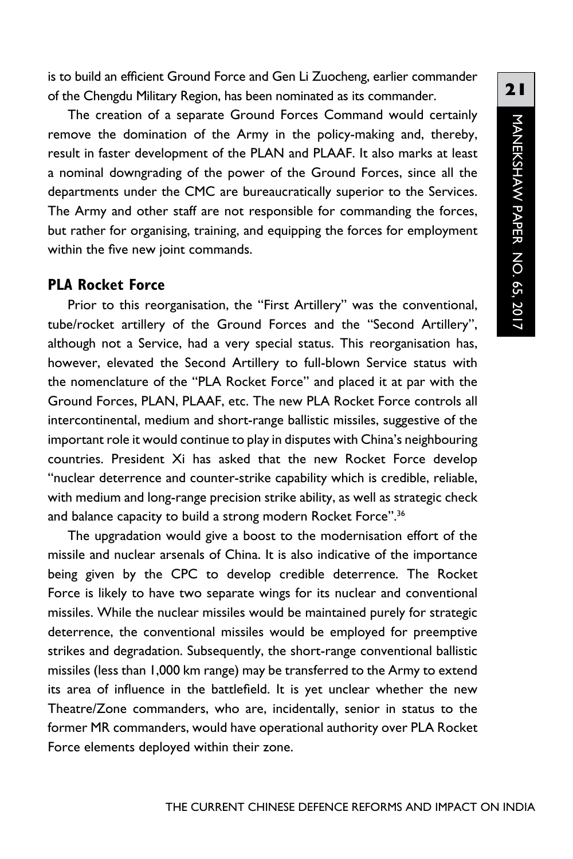is to build an efficient Ground Force and Gen Li Zuocheng, earlier commander of the Chengdu Military Region, has been nominated as its commander.

The creation of a separate Ground Forces Command would certainly remove the domination of the Army in the policy-making and, thereby, result in faster development of the PLAN and PLAAF. It also marks at least a nominal downgrading of the power of the Ground Forces, since all the departments under the CMC are bureaucratically superior to the Services. The Army and other staff are not responsible for commanding the forces, but rather for organising, training, and equipping the forces for employment within the five new joint commands.

#### **PLA Rocket Force**

Prior to this reorganisation, the "First Artillery" was the conventional, tube/rocket artillery of the Ground Forces and the "Second Artillery", although not a Service, had a very special status. This reorganisation has, however, elevated the Second Artillery to full-blown Service status with the nomenclature of the "PLA Rocket Force" and placed it at par with the Ground Forces, PLAN, PLAAF, etc. The new PLA Rocket Force controls all intercontinental, medium and short-range ballistic missiles, suggestive of the important role it would continue to play in disputes with China's neighbouring countries. President Xi has asked that the new Rocket Force develop "nuclear deterrence and counter-strike capability which is credible, reliable, with medium and long-range precision strike ability, as well as strategic check and balance capacity to build a strong modern Rocket Force".<sup>36</sup>

The upgradation would give a boost to the modernisation effort of the missile and nuclear arsenals of China. It is also indicative of the importance being given by the CPC to develop credible deterrence. The Rocket Force is likely to have two separate wings for its nuclear and conventional missiles. While the nuclear missiles would be maintained purely for strategic deterrence, the conventional missiles would be employed for preemptive strikes and degradation. Subsequently, the short-range conventional ballistic missiles (less than 1,000 km range) may be transferred to the Army to extend its area of influence in the battlefield. It is yet unclear whether the new Theatre/Zone commanders, who are, incidentally, senior in status to the former MR commanders, would have operational authority over PLA Rocket Force elements deployed within their zone.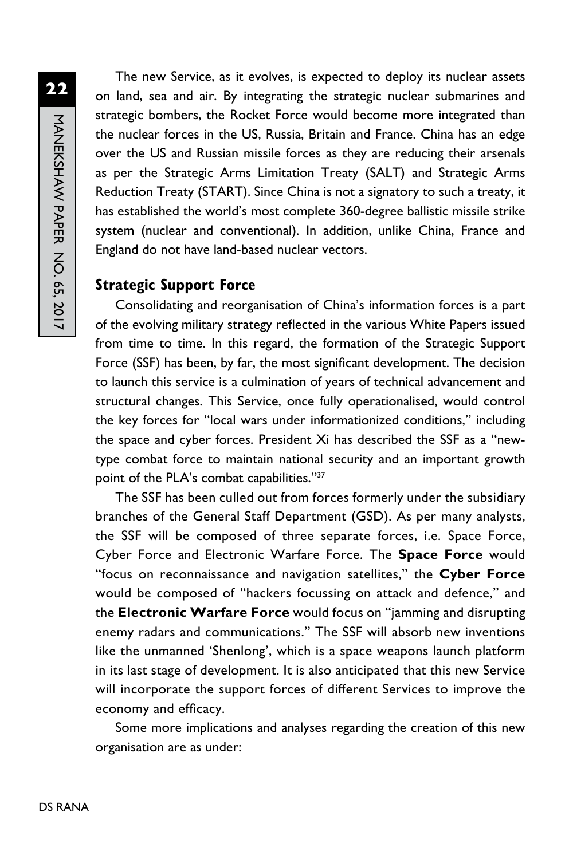The new Service, as it evolves, is expected to deploy its nuclear assets on land, sea and air. By integrating the strategic nuclear submarines and strategic bombers, the Rocket Force would become more integrated than the nuclear forces in the US, Russia, Britain and France. China has an edge over the US and Russian missile forces as they are reducing their arsenals as per the Strategic Arms Limitation Treaty (SALT) and Strategic Arms Reduction Treaty (START). Since China is not a signatory to such a treaty, it has established the world's most complete 360-degree ballistic missile strike system (nuclear and conventional). In addition, unlike China, France and England do not have land-based nuclear vectors.

#### **Strategic Support Force**

Consolidating and reorganisation of China's information forces is a part of the evolving military strategy reflected in the various White Papers issued from time to time. In this regard, the formation of the Strategic Support Force (SSF) has been, by far, the most significant development. The decision to launch this service is a culmination of years of technical advancement and structural changes. This Service, once fully operationalised, would control the key forces for "local wars under informationized conditions," including the space and cyber forces. President Xi has described the SSF as a "newtype combat force to maintain national security and an important growth point of the PLA's combat capabilities."37

The SSF has been culled out from forces formerly under the subsidiary branches of the General Staff Department (GSD). As per many analysts, the SSF will be composed of three separate forces, i.e. Space Force, Cyber Force and Electronic Warfare Force. The **Space Force** would "focus on reconnaissance and navigation satellites," the **Cyber Force** would be composed of "hackers focussing on attack and defence," and the **Electronic Warfare Force** would focus on "jamming and disrupting enemy radars and communications." The SSF will absorb new inventions like the unmanned 'Shenlong', which is a space weapons launch platform in its last stage of development. It is also anticipated that this new Service will incorporate the support forces of different Services to improve the economy and efficacy.

Some more implications and analyses regarding the creation of this new organisation are as under: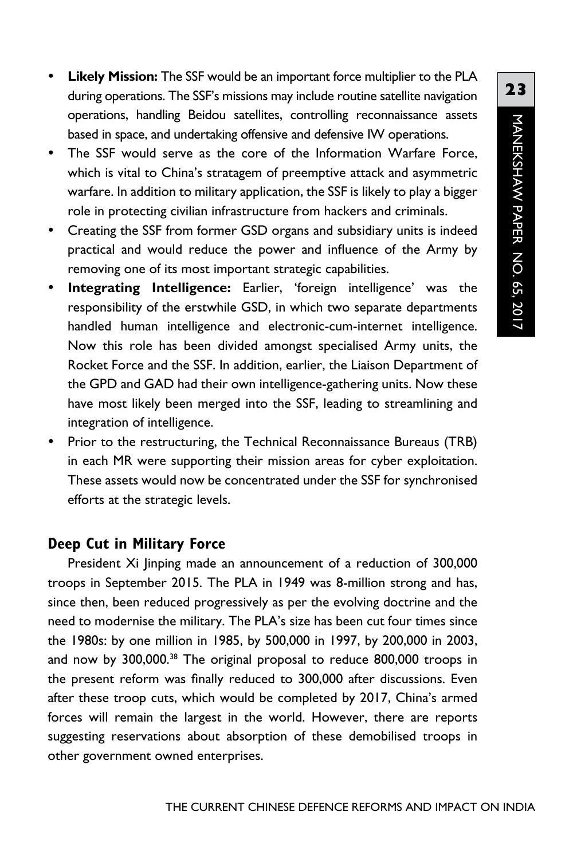- Likely Mission: The SSF would be an important force multiplier to the PLA during operations. The SSF's missions may include routine satellite navigation operations, handling Beidou satellites, controlling reconnaissance assets based in space, and undertaking offensive and defensive IW operations.
- The SSF would serve as the core of the Information Warfare Force, which is vital to China's stratagem of preemptive attack and asymmetric warfare. In addition to military application, the SSF is likely to play a bigger role in protecting civilian infrastructure from hackers and criminals.
- Creating the SSF from former GSD organs and subsidiary units is indeed practical and would reduce the power and influence of the Army by removing one of its most important strategic capabilities.
- **Integrating Intelligence:** Earlier, 'foreign intelligence' was the responsibility of the erstwhile GSD, in which two separate departments handled human intelligence and electronic-cum-internet intelligence. Now this role has been divided amongst specialised Army units, the Rocket Force and the SSF. In addition, earlier, the Liaison Department of the GPD and GAD had their own intelligence-gathering units. Now these have most likely been merged into the SSF, leading to streamlining and integration of intelligence.
- Prior to the restructuring, the Technical Reconnaissance Bureaus (TRB) in each MR were supporting their mission areas for cyber exploitation. These assets would now be concentrated under the SSF for synchronised efforts at the strategic levels.

#### **Deep Cut in Military Force**

President Xi Jinping made an announcement of a reduction of 300,000 troops in September 2015. The PLA in 1949 was 8-million strong and has, since then, been reduced progressively as per the evolving doctrine and the need to modernise the military. The PLA's size has been cut four times since the 1980s: by one million in 1985, by 500,000 in 1997, by 200,000 in 2003, and now by 300,000.<sup>38</sup> The original proposal to reduce 800,000 troops in the present reform was finally reduced to 300,000 after discussions. Even after these troop cuts, which would be completed by 2017, China's armed forces will remain the largest in the world. However, there are reports suggesting reservations about absorption of these demobilised troops in other government owned enterprises.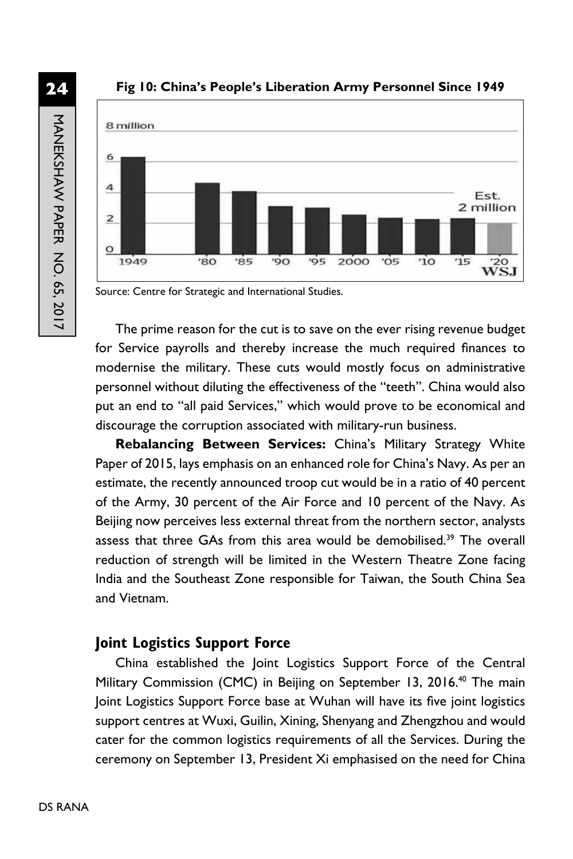

**Fig 10: China's People's Liberation Army Personnel Since 1949**



Source: Centre for Strategic and International Studies.

The prime reason for the cut is to save on the ever rising revenue budget for Service payrolls and thereby increase the much required finances to modernise the military. These cuts would mostly focus on administrative personnel without diluting the effectiveness of the "teeth". China would also put an end to "all paid Services," which would prove to be economical and discourage the corruption associated with military-run business.

**Rebalancing Between Services:** China's Military Strategy White Paper of 2015, lays emphasis on an enhanced role for China's Navy. As per an estimate, the recently announced troop cut would be in a ratio of 40 percent of the Army, 30 percent of the Air Force and 10 percent of the Navy. As Beijing now perceives less external threat from the northern sector, analysts assess that three GAs from this area would be demobilised.<sup>39</sup> The overall reduction of strength will be limited in the Western Theatre Zone facing India and the Southeast Zone responsible for Taiwan, the South China Sea and Vietnam.

#### **Joint Logistics Support Force**

China established the Joint Logistics Support Force of the Central Military Commission (CMC) in Beijing on September 13, 2016.<sup>40</sup> The main Joint Logistics Support Force base at Wuhan will have its five joint logistics support centres at Wuxi, Guilin, Xining, Shenyang and Zhengzhou and would cater for the common logistics requirements of all the Services. During the ceremony on September 13, President Xi emphasised on the need for China

**24**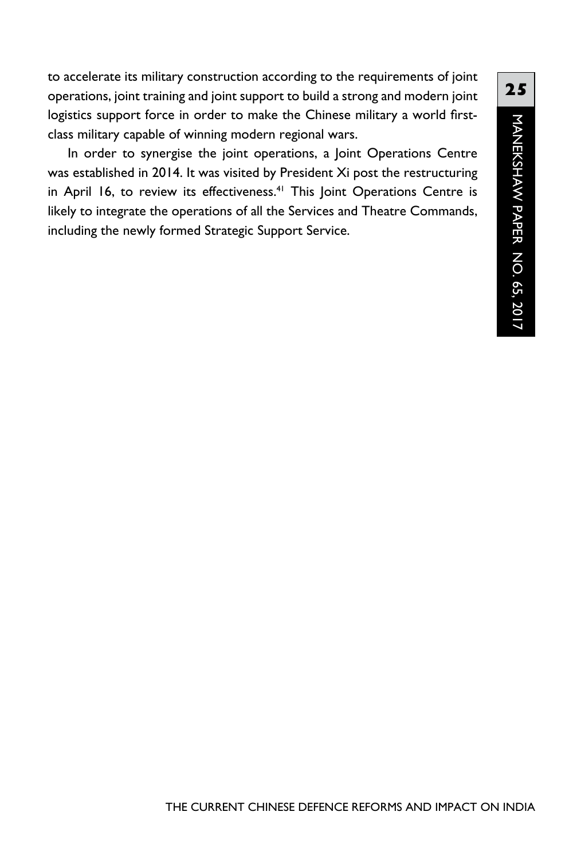to accelerate its military construction according to the requirements of joint operations, joint training and joint support to build a strong and modern joint logistics support force in order to make the Chinese military a world firstclass military capable of winning modern regional wars.

In order to synergise the joint operations, a Joint Operations Centre was established in 2014. It was visited by President Xi post the restructuring in April 16, to review its effectiveness.<sup>41</sup> This Joint Operations Centre is likely to integrate the operations of all the Services and Theatre Commands, including the newly formed Strategic Support Service.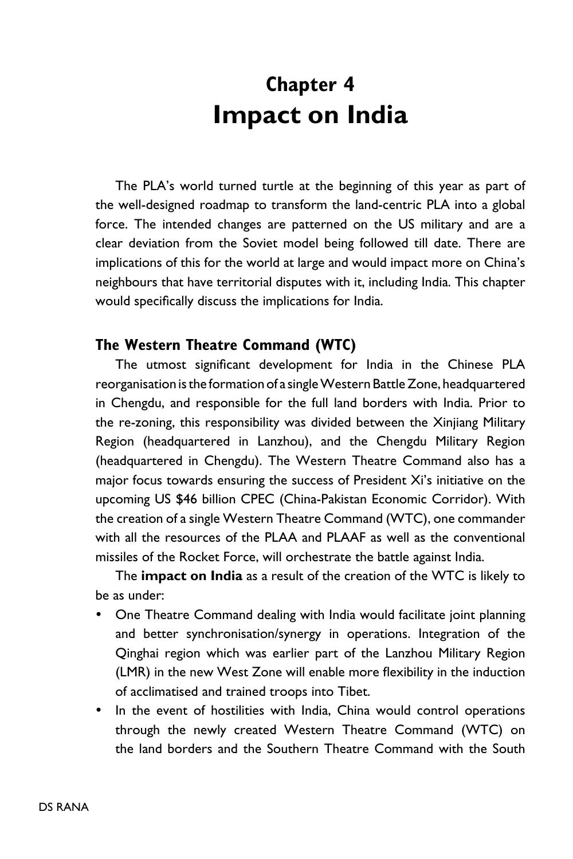## **Chapter 4 Impact on India**

The PLA's world turned turtle at the beginning of this year as part of the well-designed roadmap to transform the land-centric PLA into a global force. The intended changes are patterned on the US military and are a clear deviation from the Soviet model being followed till date. There are implications of this for the world at large and would impact more on China's neighbours that have territorial disputes with it, including India. This chapter would specifically discuss the implications for India.

#### **The Western Theatre Command (WTC)**

The utmost significant development for India in the Chinese PLA reorganisation is the formation of a single Western Battle Zone, headquartered in Chengdu, and responsible for the full land borders with India. Prior to the re-zoning, this responsibility was divided between the Xinjiang Military Region (headquartered in Lanzhou), and the Chengdu Military Region (headquartered in Chengdu). The Western Theatre Command also has a major focus towards ensuring the success of President Xi's initiative on the upcoming US \$46 billion CPEC (China-Pakistan Economic Corridor). With the creation of a single Western Theatre Command (WTC), one commander with all the resources of the PLAA and PLAAF as well as the conventional missiles of the Rocket Force, will orchestrate the battle against India.

The **impact on India** as a result of the creation of the WTC is likely to be as under:

- One Theatre Command dealing with India would facilitate joint planning and better synchronisation/synergy in operations. Integration of the Qinghai region which was earlier part of the Lanzhou Military Region (LMR) in the new West Zone will enable more flexibility in the induction of acclimatised and trained troops into Tibet.
- In the event of hostilities with India, China would control operations through the newly created Western Theatre Command (WTC) on the land borders and the Southern Theatre Command with the South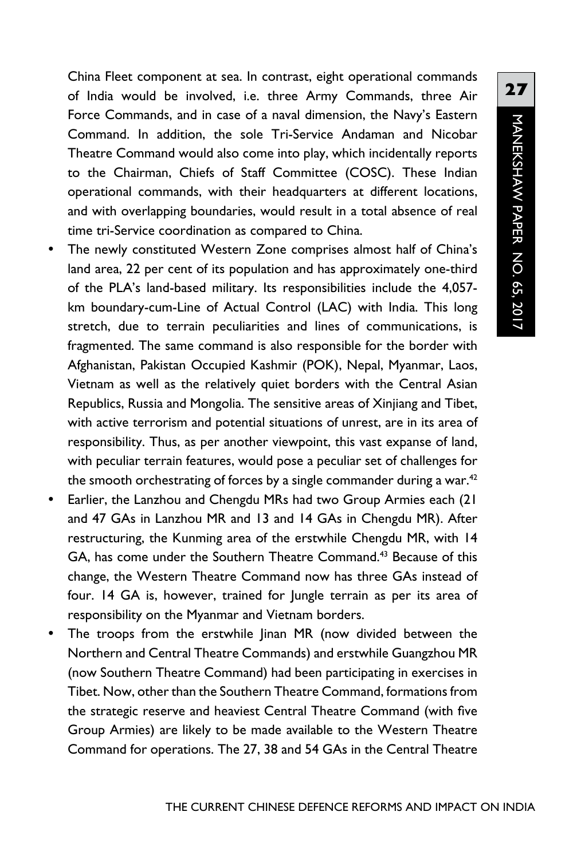China Fleet component at sea. In contrast, eight operational commands of India would be involved, i.e. three Army Commands, three Air Force Commands, and in case of a naval dimension, the Navy's Eastern Command. In addition, the sole Tri-Service Andaman and Nicobar Theatre Command would also come into play, which incidentally reports to the Chairman, Chiefs of Staff Committee (COSC). These Indian operational commands, with their headquarters at different locations, and with overlapping boundaries, would result in a total absence of real time tri-Service coordination as compared to China.

- The newly constituted Western Zone comprises almost half of China's land area, 22 per cent of its population and has approximately one-third of the PLA's land-based military. Its responsibilities include the 4,057 km boundary-cum-Line of Actual Control (LAC) with India. This long stretch, due to terrain peculiarities and lines of communications, is fragmented. The same command is also responsible for the border with Afghanistan, Pakistan Occupied Kashmir (POK), Nepal, Myanmar, Laos, Vietnam as well as the relatively quiet borders with the Central Asian Republics, Russia and Mongolia. The sensitive areas of Xinjiang and Tibet, with active terrorism and potential situations of unrest, are in its area of responsibility. Thus, as per another viewpoint, this vast expanse of land, with peculiar terrain features, would pose a peculiar set of challenges for the smooth orchestrating of forces by a single commander during a war. $42$
- Earlier, the Lanzhou and Chengdu MRs had two Group Armies each (21 and 47 GAs in Lanzhou MR and 13 and 14 GAs in Chengdu MR). After restructuring, the Kunming area of the erstwhile Chengdu MR, with 14 GA, has come under the Southern Theatre Command.<sup>43</sup> Because of this change, the Western Theatre Command now has three GAs instead of four. 14 GA is, however, trained for Jungle terrain as per its area of responsibility on the Myanmar and Vietnam borders.
- The troops from the erstwhile Jinan MR (now divided between the Northern and Central Theatre Commands) and erstwhile Guangzhou MR (now Southern Theatre Command) had been participating in exercises in Tibet. Now, other than the Southern Theatre Command, formations from the strategic reserve and heaviest Central Theatre Command (with five Group Armies) are likely to be made available to the Western Theatre Command for operations. The 27, 38 and 54 GAs in the Central Theatre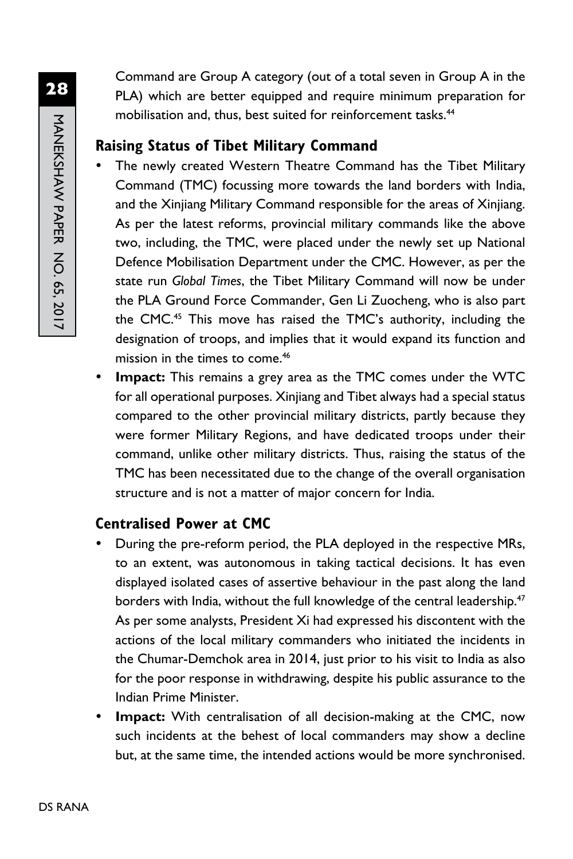Command are Group A category (out of a total seven in Group A in the PLA) which are better equipped and require minimum preparation for mobilisation and, thus, best suited for reinforcement tasks.<sup>44</sup>

### **Raising Status of Tibet Military Command**

- The newly created Western Theatre Command has the Tibet Military Command (TMC) focussing more towards the land borders with India, and the Xinjiang Military Command responsible for the areas of Xinjiang. As per the latest reforms, provincial military commands like the above two, including, the TMC, were placed under the newly set up National Defence Mobilisation Department under the CMC. However, as per the state run *Global Times*, the Tibet Military Command will now be under the PLA Ground Force Commander, Gen Li Zuocheng, who is also part the CMC.45 This move has raised the TMC's authority, including the designation of troops, and implies that it would expand its function and mission in the times to come.46
- **Impact:** This remains a grey area as the TMC comes under the WTC for all operational purposes. Xinjiang and Tibet always had a special status compared to the other provincial military districts, partly because they were former Military Regions, and have dedicated troops under their command, unlike other military districts. Thus, raising the status of the TMC has been necessitated due to the change of the overall organisation structure and is not a matter of major concern for India.

### **Centralised Power at CMC**

- During the pre-reform period, the PLA deployed in the respective MRs, to an extent, was autonomous in taking tactical decisions. It has even displayed isolated cases of assertive behaviour in the past along the land borders with India, without the full knowledge of the central leadership.<sup>47</sup> As per some analysts, President Xi had expressed his discontent with the actions of the local military commanders who initiated the incidents in the Chumar-Demchok area in 2014, just prior to his visit to India as also for the poor response in withdrawing, despite his public assurance to the Indian Prime Minister.
- **Impact:** With centralisation of all decision-making at the CMC, now such incidents at the behest of local commanders may show a decline but, at the same time, the intended actions would be more synchronised.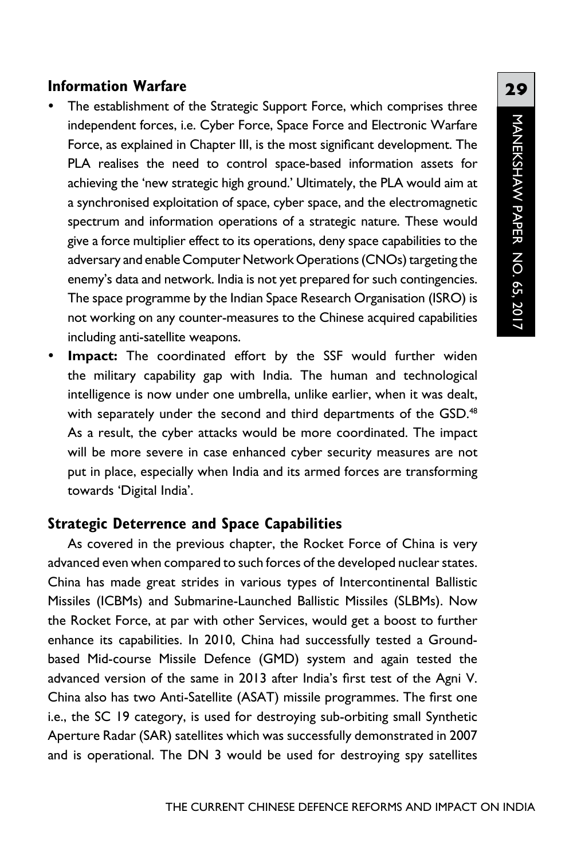#### **Information Warfare**

- The establishment of the Strategic Support Force, which comprises three independent forces, i.e. Cyber Force, Space Force and Electronic Warfare Force, as explained in Chapter III, is the most significant development. The PLA realises the need to control space-based information assets for achieving the 'new strategic high ground.' Ultimately, the PLA would aim at a synchronised exploitation of space, cyber space, and the electromagnetic spectrum and information operations of a strategic nature. These would give a force multiplier effect to its operations, deny space capabilities to the adversary and enable Computer Network Operations (CNOs) targeting the enemy's data and network. India is not yet prepared for such contingencies. The space programme by the Indian Space Research Organisation (ISRO) is not working on any counter-measures to the Chinese acquired capabilities including anti-satellite weapons.
- **Impact:** The coordinated effort by the SSF would further widen the military capability gap with India. The human and technological intelligence is now under one umbrella, unlike earlier, when it was dealt, with separately under the second and third departments of the GSD.<sup>48</sup> As a result, the cyber attacks would be more coordinated. The impact will be more severe in case enhanced cyber security measures are not put in place, especially when India and its armed forces are transforming towards 'Digital India'.

### **Strategic Deterrence and Space Capabilities**

As covered in the previous chapter, the Rocket Force of China is very advanced even when compared to such forces of the developed nuclear states. China has made great strides in various types of Intercontinental Ballistic Missiles (ICBMs) and Submarine-Launched Ballistic Missiles (SLBMs). Now the Rocket Force, at par with other Services, would get a boost to further enhance its capabilities. In 2010, China had successfully tested a Groundbased Mid-course Missile Defence (GMD) system and again tested the advanced version of the same in 2013 after India's first test of the Agni V. China also has two Anti-Satellite (ASAT) missile programmes. The first one i.e., the SC 19 category, is used for destroying sub-orbiting small Synthetic Aperture Radar (SAR) satellites which was successfully demonstrated in 2007 and is operational. The DN 3 would be used for destroying spy satellites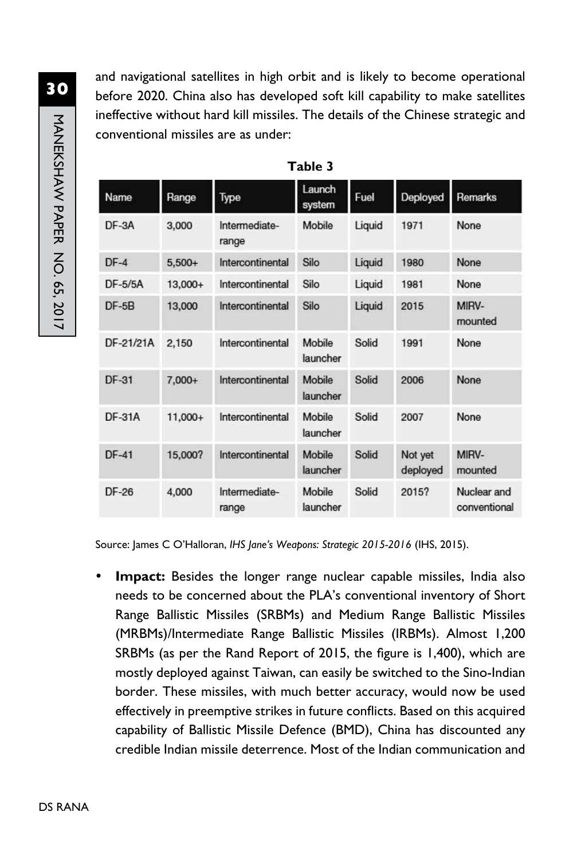and navigational satellites in high orbit and is likely to become operational before 2020. China also has developed soft kill capability to make satellites ineffective without hard kill missiles. The details of the Chinese strategic and conventional missiles are as under:

| Name      | Range     | Type                   | Launch<br>system   | Fuel   | Deployed            | Remarks                     |
|-----------|-----------|------------------------|--------------------|--------|---------------------|-----------------------------|
| $DF-3A$   | 3,000     | Intermediate-<br>range | Mobile             | Liquid | 1971                | None                        |
| $DF-4$    | $5,500+$  | Intercontinental       | Silo               | Liquid | 1980                | None                        |
| $DF-5/5A$ | $13,000+$ | Intercontinental       | Silo               | Liquid | 1981                | None                        |
| $DF-5B$   | 13,000    | Intercontinental       | Silo               | Liquid | 2015                | MIRV-<br>mounted            |
| DF-21/21A | 2,150     | Intercontinental       | Mobile<br>launcher | Solid  | 1991                | None                        |
| DF-31     | $7,000+$  | Intercontinental       | Mobile<br>launcher | Solid  | 2006                | None                        |
| $DF-31A$  | 11,000+   | Intercontinental       | Mobile<br>launcher | Solid  | 2007                | None                        |
| $DF-41$   | 15,000?   | Intercontinental       | Mobile<br>launcher | Solid  | Not yet<br>deployed | MIRV-<br>mounted            |
| $DF-26$   | 4.000     | Intermediate-<br>range | Mobile<br>launcher | Solid  | 2015?               | Nuclear and<br>conventional |

| ۰,<br>۰.<br>v |
|---------------|
|---------------|

Source: James C O'Halloran, *IHS Jane's Weapons: Strategic 2015-2016* (IHS, 2015).

**Impact:** Besides the longer range nuclear capable missiles, India also needs to be concerned about the PLA's conventional inventory of Short Range Ballistic Missiles (SRBMs) and Medium Range Ballistic Missiles (MRBMs)/Intermediate Range Ballistic Missiles (IRBMs). Almost 1,200 SRBMs (as per the Rand Report of 2015, the figure is 1,400), which are mostly deployed against Taiwan, can easily be switched to the Sino-Indian border. These missiles, with much better accuracy, would now be used effectively in preemptive strikes in future conflicts. Based on this acquired capability of Ballistic Missile Defence (BMD), China has discounted any credible Indian missile deterrence. Most of the Indian communication and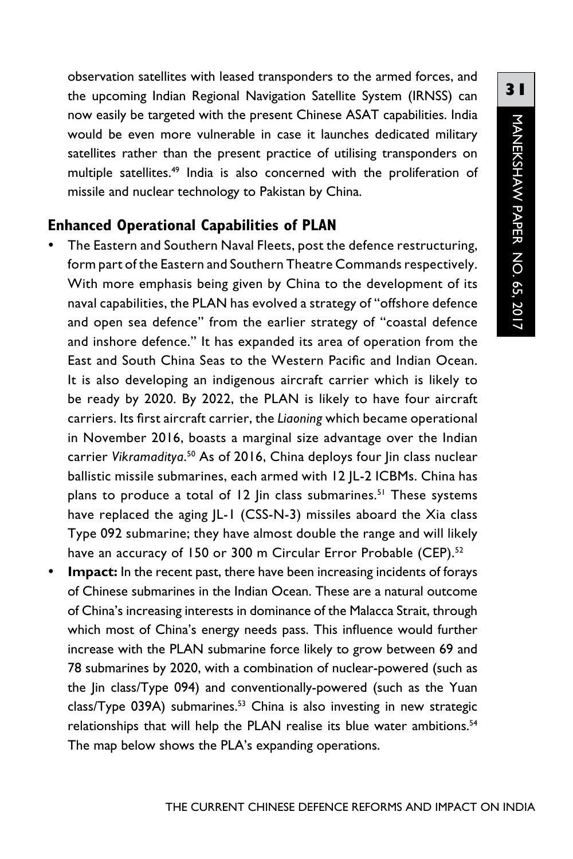observation satellites with leased transponders to the armed forces, and the upcoming Indian Regional Navigation Satellite System (IRNSS) can now easily be targeted with the present Chinese ASAT capabilities. India would be even more vulnerable in case it launches dedicated military satellites rather than the present practice of utilising transponders on multiple satellites.49 India is also concerned with the proliferation of missile and nuclear technology to Pakistan by China.

#### **Enhanced Operational Capabilities of PLAN**

- The Eastern and Southern Naval Fleets, post the defence restructuring, form part of the Eastern and Southern Theatre Commands respectively. With more emphasis being given by China to the development of its naval capabilities, the PLAN has evolved a strategy of "offshore defence and open sea defence" from the earlier strategy of "coastal defence and inshore defence." It has expanded its area of operation from the East and South China Seas to the Western Pacific and Indian Ocean. It is also developing an indigenous aircraft carrier which is likely to be ready by 2020. By 2022, the PLAN is likely to have four aircraft carriers. Its first aircraft carrier, the *Liaoning* which became operational in November 2016, boasts a marginal size advantage over the Indian carrier *Vikramaditya*. <sup>50</sup> As of 2016, China deploys four Jin class nuclear ballistic missile submarines, each armed with 12 |L-2 ICBMs. China has plans to produce a total of 12 Jin class submarines.<sup>51</sup> These systems have replaced the aging JL-1 (CSS-N-3) missiles aboard the Xia class Type 092 submarine; they have almost double the range and will likely have an accuracy of 150 or 300 m Circular Error Probable (CEP).<sup>52</sup>
- **Impact:** In the recent past, there have been increasing incidents of forays of Chinese submarines in the Indian Ocean. These are a natural outcome of China's increasing interests in dominance of the Malacca Strait, through which most of China's energy needs pass. This influence would further increase with the PLAN submarine force likely to grow between 69 and 78 submarines by 2020, with a combination of nuclear-powered (such as the Jin class/Type 094) and conventionally-powered (such as the Yuan class/Type 039A) submarines.<sup>53</sup> China is also investing in new strategic relationships that will help the PLAN realise its blue water ambitions.<sup>54</sup> The map below shows the PLA's expanding operations.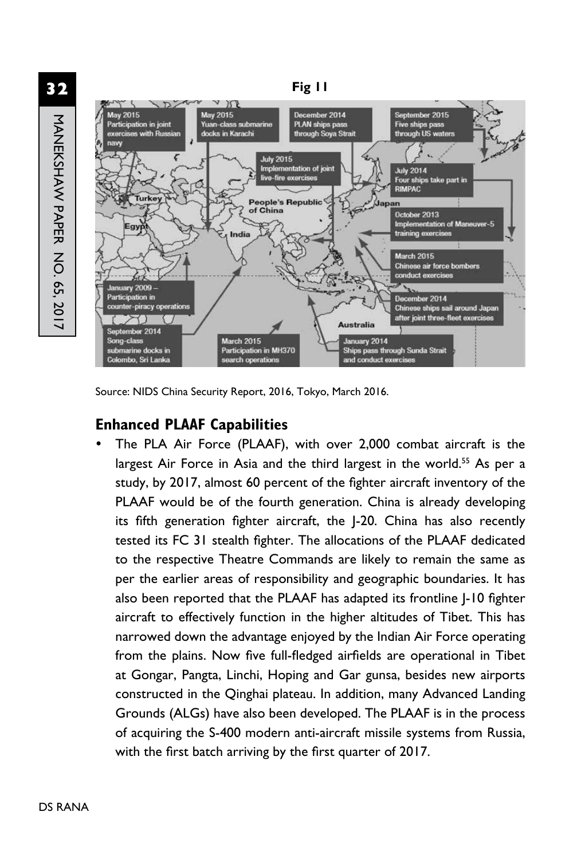

Source: NIDS China Security Report, 2016, Tokyo, March 2016.

### **Enhanced PLAAF Capabilities**

The PLA Air Force (PLAAF), with over 2,000 combat aircraft is the largest Air Force in Asia and the third largest in the world.<sup>55</sup> As per a study, by 2017, almost 60 percent of the fighter aircraft inventory of the PLAAF would be of the fourth generation. China is already developing its fifth generation fighter aircraft, the J-20. China has also recently tested its FC 31 stealth fighter. The allocations of the PLAAF dedicated to the respective Theatre Commands are likely to remain the same as per the earlier areas of responsibility and geographic boundaries. It has also been reported that the PLAAF has adapted its frontline J-10 fighter aircraft to effectively function in the higher altitudes of Tibet. This has narrowed down the advantage enjoyed by the Indian Air Force operating from the plains. Now five full-fledged airfields are operational in Tibet at Gongar, Pangta, Linchi, Hoping and Gar gunsa, besides new airports constructed in the Qinghai plateau. In addition, many Advanced Landing Grounds (ALGs) have also been developed. The PLAAF is in the process of acquiring the S-400 modern anti-aircraft missile systems from Russia, with the first batch arriving by the first quarter of 2017.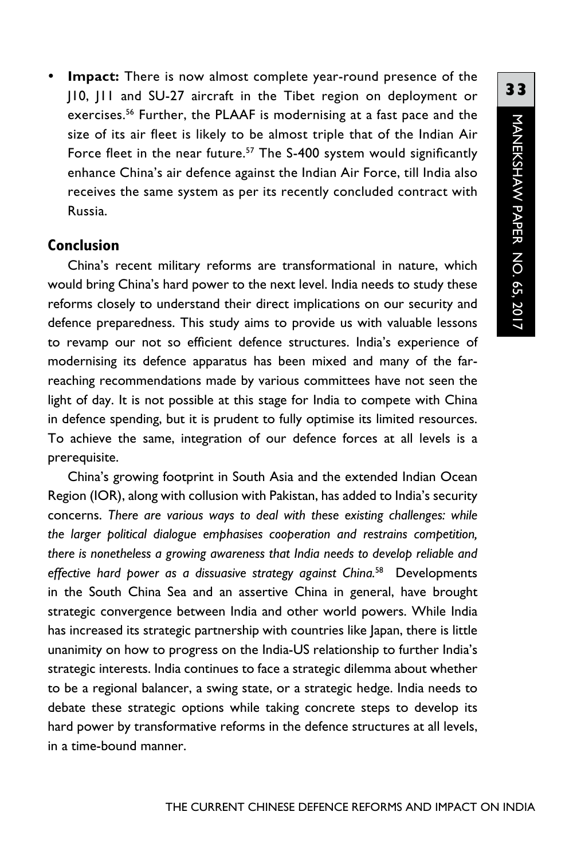• **Impact:** There is now almost complete year-round presence of the J10, J11 and SU-27 aircraft in the Tibet region on deployment or exercises.<sup>56</sup> Further, the PLAAF is modernising at a fast pace and the size of its air fleet is likely to be almost triple that of the Indian Air Force fleet in the near future.<sup>57</sup> The S-400 system would significantly enhance China's air defence against the Indian Air Force, till India also receives the same system as per its recently concluded contract with Russia.

#### **Conclusion**

China's recent military reforms are transformational in nature, which would bring China's hard power to the next level. India needs to study these reforms closely to understand their direct implications on our security and defence preparedness. This study aims to provide us with valuable lessons to revamp our not so efficient defence structures. India's experience of modernising its defence apparatus has been mixed and many of the farreaching recommendations made by various committees have not seen the light of day. It is not possible at this stage for India to compete with China in defence spending, but it is prudent to fully optimise its limited resources. To achieve the same, integration of our defence forces at all levels is a prerequisite.

China's growing footprint in South Asia and the extended Indian Ocean Region (IOR), along with collusion with Pakistan, has added to India's security concerns. *There are various ways to deal with these existing challenges: while the larger political dialogue emphasises cooperation and restrains competition, there is nonetheless a growing awareness that India needs to develop reliable and effective hard power as a dissuasive strategy against China.*<sup>58</sup> Developments in the South China Sea and an assertive China in general, have brought strategic convergence between India and other world powers. While India has increased its strategic partnership with countries like Japan, there is little unanimity on how to progress on the India-US relationship to further India's strategic interests. India continues to face a strategic dilemma about whether to be a regional balancer, a swing state, or a strategic hedge. India needs to debate these strategic options while taking concrete steps to develop its hard power by transformative reforms in the defence structures at all levels, in a time-bound manner.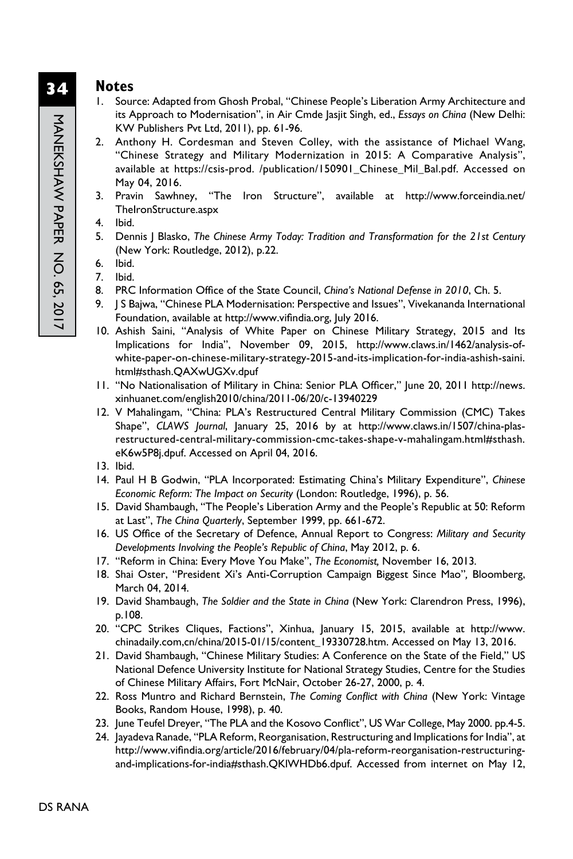#### **Notes**

- 1. Source: Adapted from Ghosh Probal, "Chinese People's Liberation Army Architecture and its Approach to Modernisation", in Air Cmde Jasjit Singh, ed., *Essays on China* (New Delhi: KW Publishers Pvt Ltd, 2011), pp. 61-96.
- 2. Anthony H. Cordesman and Steven Colley, with the assistance of Michael Wang, "Chinese Strategy and Military Modernization in 2015: A Comparative Analysis", available at https://csis-prod. /publication/150901\_Chinese\_Mil\_Bal.pdf. Accessed on May 04, 2016.
- 3. Pravin Sawhney, "The Iron Structure", available at http://www.forceindia.net/ TheIronStructure.aspx
- 4. Ibid.
- 5. Dennis J Blasko, *The Chinese Army Today: Tradition and Transformation for the 21st Century* (New York: Routledge, 2012), p.22.
- 6. Ibid.
- 7. Ibid.
- 8. PRC Information Office of the State Council, *China's National Defense in 2010*, Ch. 5.
- 9. J S Bajwa, "Chinese PLA Modernisation: Perspective and Issues", Vivekananda International Foundation, available at http://www.vifindia.org, July 2016.
- 10. Ashish Saini, "Analysis of White Paper on Chinese Military Strategy, 2015 and Its Implications for India", November 09, 2015, http://www.claws.in/1462/analysis-ofwhite-paper-on-chinese-military-strategy-2015-and-its-implication-for-india-ashish-saini. html#sthash.QAXwUGXv.dpuf
- 11. "No Nationalisation of Military in China: Senior PLA Officer," June 20, 2011 http://news. xinhuanet.com/english2010/china/2011-06/20/c-13940229
- 12. V Mahalingam, "China: PLA's Restructured Central Military Commission (CMC) Takes Shape", *CLAWS Journal*, January 25, 2016 by at http://www.claws.in/1507/china-plasrestructured-central-military-commission-cmc-takes-shape-v-mahalingam.html#sthash. eK6w5P8j.dpuf. Accessed on April 04, 2016.
- 13. Ibid.
- 14. Paul H B Godwin, "PLA Incorporated: Estimating China's Military Expenditure", *Chinese Economic Reform: The Impact on Security* (London: Routledge, 1996), p. 56.
- 15. David Shambaugh, "The People's Liberation Army and the People's Republic at 50: Reform at Last", *The China Quarterly*, September 1999, pp. 661-672.
- 16. US Office of the Secretary of Defence, Annual Report to Congress: *Military and Security Developments Involving the People's Republic of China*, May 2012, p. 6.
- 17. "Reform in China: Every Move You Make", *The Economist,* November 16, 2013*.*
- 18. Shai Oster, "President Xi's Anti-Corruption Campaign Biggest Since Mao"*,* Bloomberg, March 04, 2014.
- 19. David Shambaugh, *The Soldier and the State in China* (New York: Clarendron Press, 1996), p.108.
- 20. "CPC Strikes Cliques, Factions", Xinhua, January 15, 2015, available at http://www. chinadaily.com,cn/china/2015-01/15/content\_19330728.htm. Accessed on May 13, 2016.
- 21. David Shambaugh, "Chinese Military Studies: A Conference on the State of the Field," US National Defence University Institute for National Strategy Studies, Centre for the Studies of Chinese Military Affairs, Fort McNair, October 26-27, 2000, p. 4.
- 22. Ross Muntro and Richard Bernstein, *The Coming Conflict with China* (New York: Vintage Books, Random House, 1998), p. 40.
- 23. June Teufel Dreyer, "The PLA and the Kosovo Conflict", US War College, May 2000. pp.4-5.
- 24. Jayadeva Ranade, "PLA Reform, Reorganisation, Restructuring and Implications for India", at http://www.vifindia.org/article/2016/february/04/pla-reform-reorganisation-restructuringand-implications-for-india#sthash.QKlWHDb6.dpuf. Accessed from internet on May 12,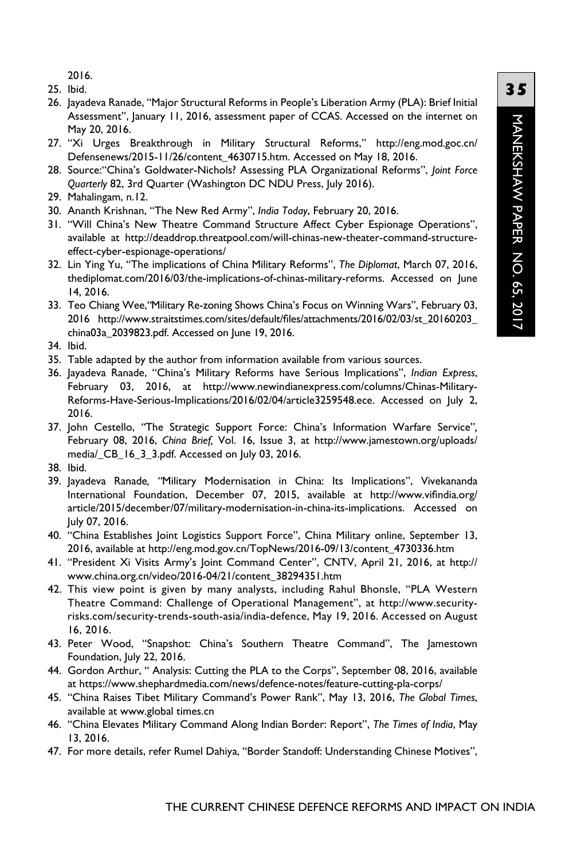2016.

- 25. Ibid.
- 26. Jayadeva Ranade, "Major Structural Reforms in People's Liberation Army (PLA): Brief Initial Assessment", January 11, 2016, assessment paper of CCAS. Accessed on the internet on May 20, 2016.
- 27. "Xi Urges Breakthrough in Military Structural Reforms," http://eng.mod.goc.cn/ Defensenews/2015-11/26/content\_4630715.htm. Accessed on May 18, 2016.
- 28. Source:"China's Goldwater-Nichols? Assessing PLA Organizational Reforms", *Joint Force Quarterly* 82, 3rd Quarter (Washington DC NDU Press, July 2016).
- 29. Mahalingam, n.12.
- 30. Ananth Krishnan, "The New Red Army", *India Today*, February 20, 2016.
- 31. "Will China's New Theatre Command Structure Affect Cyber Espionage Operations", available at http://deaddrop.threatpool.com/will-chinas-new-theater-command-structureeffect-cyber-espionage-operations/
- 32. Lin Ying Yu, "The implications of China Military Reforms", *The Diplomat*, March 07, 2016, thediplomat.com/2016/03/the-implications-of-chinas-military-reforms. Accessed on June 14, 2016.
- 33. Teo Chiang Wee,*"*Military Re-zoning Shows China's Focus on Winning Wars", February 03, 2016 http://www.straitstimes.com/sites/default/files/attachments/2016/02/03/st\_20160203\_ china03a\_2039823.pdf. Accessed on June 19, 2016.
- 34. Ibid.
- 35. Table adapted by the author from information available from various sources.
- 36. Jayadeva Ranade, "China's Military Reforms have Serious Implications", *Indian Express*, February 03, 2016, at http://www.newindianexpress.com/columns/Chinas-Military-Reforms-Have-Serious-Implications/2016/02/04/article3259548.ece. Accessed on July 2, 2016.
- 37. John Cestello, *"*The Strategic Support Force: China's Information Warfare Service"*,* February 08, 2016, *China Brief,* Vol. 16, Issue 3, at http://www.jamestown.org/uploads/ media/\_CB\_16\_3\_3.pdf. Accessed on July 03, 2016.
- 38. Ibid.
- 39. Jayadeva Ranade*, "*Military Modernisation in China: Its Implications", Vivekananda International Foundation, December 07, 2015, available at http://www.vifindia.org/ article/2015/december/07/military-modernisation-in-china-its-implications. Accessed on July 07, 2016.
- 40. "China Establishes Joint Logistics Support Force", China Military online, September 13, 2016, available at http://eng.mod.gov.cn/TopNews/2016-09/13/content\_4730336.htm
- 41. "President Xi Visits Army's Joint Command Center", CNTV, April 21, 2016, at http:// www.china.org.cn/video/2016-04/21/content\_38294351.htm
- 42. This view point is given by many analysts, including Rahul Bhonsle, "PLA Western Theatre Command: Challenge of Operational Management", at http://www.securityrisks.com/security-trends-south-asia/india-defence, May 19, 2016. Accessed on August 16, 2016.
- 43. Peter Wood, "Snapshot: China's Southern Theatre Command", The Jamestown Foundation, July 22, 2016.
- 44. Gordon Arthur, " Analysis: Cutting the PLA to the Corps", September 08, 2016, available at https://www.shephardmedia.com/news/defence-notes/feature-cutting-pla-corps/
- 45. "China Raises Tibet Military Command's Power Rank", May 13, 2016, *The Global Times*, available at www.global times.cn
- 46. "China Elevates Military Command Along Indian Border: Report", *The Times of India*, May 13, 2016.
- 47. For more details, refer Rumel Dahiya, "Border Standoff: Understanding Chinese Motives",